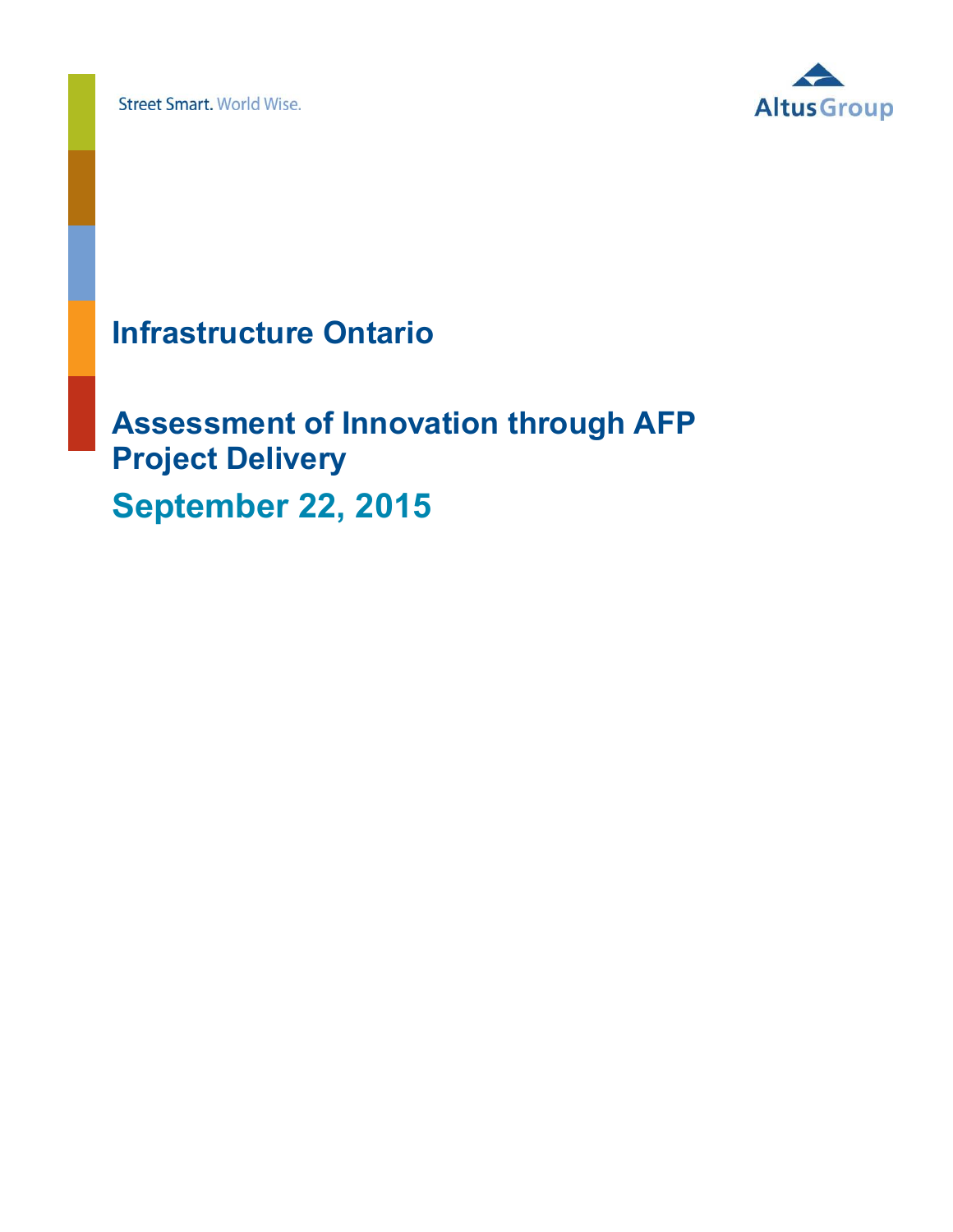**Street Smart. World Wise.** 



# **Infrastructure Ontario**

# **Assessment of Innovation through AFP Project Delivery September 22, 2015**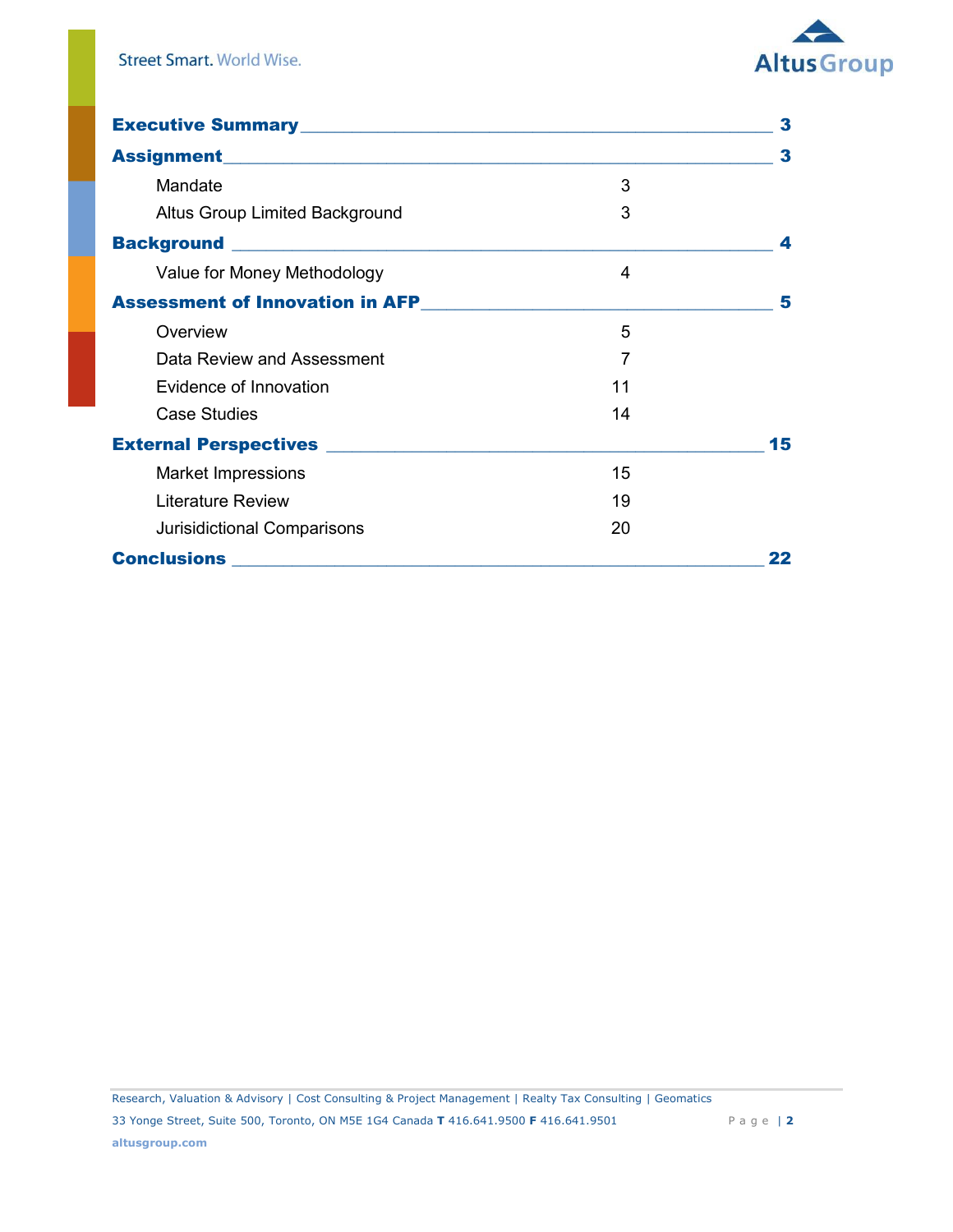

| Executive Summary<br><u>Executive Summary</u>                                                                                                                                                                                          |    | 3  |
|----------------------------------------------------------------------------------------------------------------------------------------------------------------------------------------------------------------------------------------|----|----|
|                                                                                                                                                                                                                                        |    | 3  |
| Mandate                                                                                                                                                                                                                                | 3  |    |
| Altus Group Limited Background                                                                                                                                                                                                         | 3  |    |
|                                                                                                                                                                                                                                        |    | 4  |
| Value for Money Methodology                                                                                                                                                                                                            | 4  |    |
| Assessment of Innovation in AFP<br><u>Letter and the set of the set of the set of the set of the set of the set of the set of the set of the set of the set of the set of the set of the set of the set of the set of the set of t</u> |    | 5  |
| Overview                                                                                                                                                                                                                               | 5  |    |
| Data Review and Assessment                                                                                                                                                                                                             | 7  |    |
| Evidence of Innovation                                                                                                                                                                                                                 | 11 |    |
| Case Studies                                                                                                                                                                                                                           | 14 |    |
| External Perspectives <u>and the contract of the set of the set of the set of the set of the set of the set of the set of the set of the set of the set of the set of the set of the set of the set of the set of the set of the</u>   |    | 15 |
| <b>Market Impressions</b>                                                                                                                                                                                                              | 15 |    |
| <b>Literature Review</b>                                                                                                                                                                                                               | 19 |    |
| Jurisidictional Comparisons                                                                                                                                                                                                            | 20 |    |
|                                                                                                                                                                                                                                        |    |    |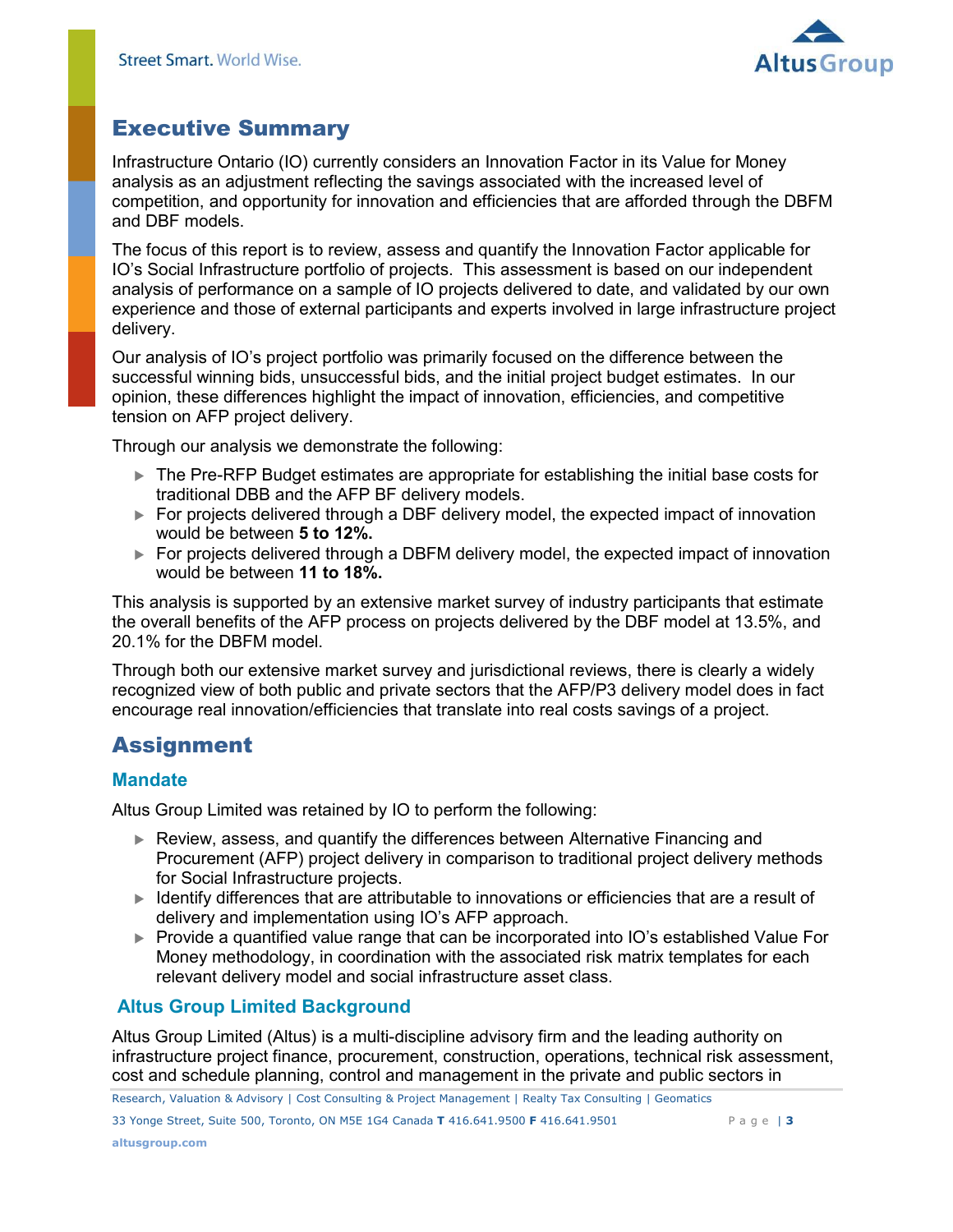

# <span id="page-2-0"></span>Executive Summary

Infrastructure Ontario (IO) currently considers an Innovation Factor in its Value for Money analysis as an adjustment reflecting the savings associated with the increased level of competition, and opportunity for innovation and efficiencies that are afforded through the DBFM and DBF models.

The focus of this report is to review, assess and quantify the Innovation Factor applicable for IO's Social Infrastructure portfolio of projects. This assessment is based on our independent analysis of performance on a sample of IO projects delivered to date, and validated by our own experience and those of external participants and experts involved in large infrastructure project delivery.

Our analysis of IO's project portfolio was primarily focused on the difference between the successful winning bids, unsuccessful bids, and the initial project budget estimates. In our opinion, these differences highlight the impact of innovation, efficiencies, and competitive tension on AFP project delivery.

Through our analysis we demonstrate the following:

- ▶ The Pre-RFP Budget estimates are appropriate for establishing the initial base costs for traditional DBB and the AFP BF delivery models.
- For projects delivered through a DBF delivery model, the expected impact of innovation would be between **5 to 12%.**
- ► For projects delivered through a DBFM delivery model, the expected impact of innovation would be between **11 to 18%.**

This analysis is supported by an extensive market survey of industry participants that estimate the overall benefits of the AFP process on projects delivered by the DBF model at 13.5%, and 20.1% for the DBFM model.

Through both our extensive market survey and jurisdictional reviews, there is clearly a widely recognized view of both public and private sectors that the AFP/P3 delivery model does in fact encourage real innovation/efficiencies that translate into real costs savings of a project.

# <span id="page-2-1"></span>Assignment

## <span id="page-2-2"></span>**Mandate**

Altus Group Limited was retained by IO to perform the following:

- Review, assess, and quantify the differences between Alternative Financing and Procurement (AFP) project delivery in comparison to traditional project delivery methods for Social Infrastructure projects.
- $\blacktriangleright$  Identify differences that are attributable to innovations or efficiencies that are a result of delivery and implementation using IO's AFP approach.
- ▶ Provide a quantified value range that can be incorporated into IO's established Value For Money methodology, in coordination with the associated risk matrix templates for each relevant delivery model and social infrastructure asset class.

## <span id="page-2-3"></span>**Altus Group Limited Background**

Altus Group Limited (Altus) is a multi-discipline advisory firm and the leading authority on infrastructure project finance, procurement, construction, operations, technical risk assessment, cost and schedule planning, control and management in the private and public sectors in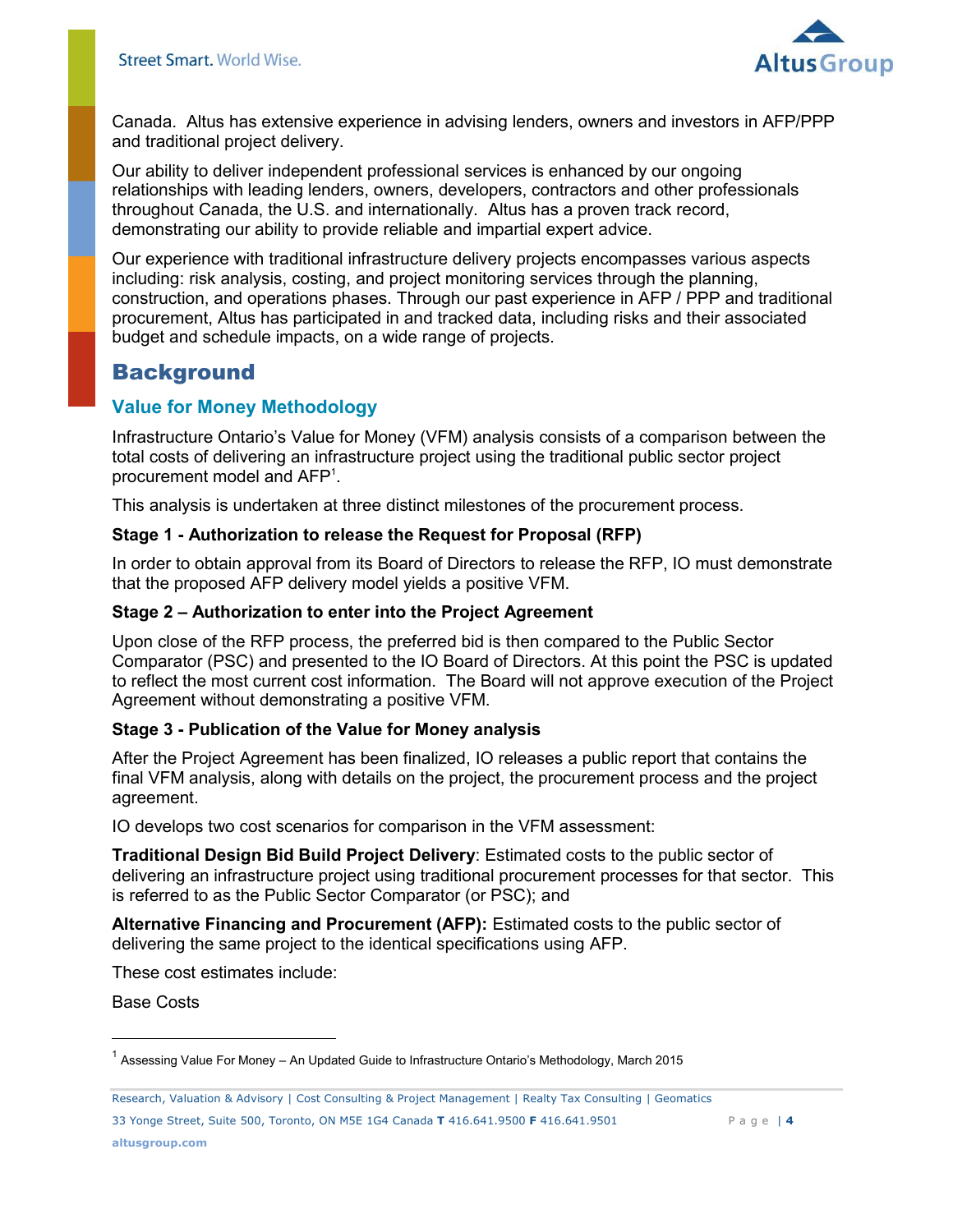

Canada. Altus has extensive experience in advising lenders, owners and investors in AFP/PPP and traditional project delivery.

Our ability to deliver independent professional services is enhanced by our ongoing relationships with leading lenders, owners, developers, contractors and other professionals throughout Canada, the U.S. and internationally. Altus has a proven track record, demonstrating our ability to provide reliable and impartial expert advice.

Our experience with traditional infrastructure delivery projects encompasses various aspects including: risk analysis, costing, and project monitoring services through the planning, construction, and operations phases. Through our past experience in AFP / PPP and traditional procurement, Altus has participated in and tracked data, including risks and their associated budget and schedule impacts, on a wide range of projects.

## <span id="page-3-0"></span>**Background**

## <span id="page-3-1"></span>**Value for Money Methodology**

Infrastructure Ontario's Value for Money (VFM) analysis consists of a comparison between the total costs of delivering an infrastructure project using the traditional public sector project procurement model and AFP<sup>1</sup> .

This analysis is undertaken at three distinct milestones of the procurement process.

#### **Stage 1 - Authorization to release the Request for Proposal (RFP)**

In order to obtain approval from its Board of Directors to release the RFP, IO must demonstrate that the proposed AFP delivery model yields a positive VFM.

#### **Stage 2 – Authorization to enter into the Project Agreement**

Upon close of the RFP process, the preferred bid is then compared to the Public Sector Comparator (PSC) and presented to the IO Board of Directors. At this point the PSC is updated to reflect the most current cost information. The Board will not approve execution of the Project Agreement without demonstrating a positive VFM.

## **Stage 3 - Publication of the Value for Money analysis**

After the Project Agreement has been finalized, IO releases a public report that contains the final VFM analysis, along with details on the project, the procurement process and the project agreement.

IO develops two cost scenarios for comparison in the VFM assessment:

**Traditional Design Bid Build Project Delivery**: Estimated costs to the public sector of delivering an infrastructure project using traditional procurement processes for that sector. This is referred to as the Public Sector Comparator (or PSC); and

**Alternative Financing and Procurement (AFP):** Estimated costs to the public sector of delivering the same project to the identical specifications using AFP.

These cost estimates include:

Base Costs

33 Yonge Street, Suite 500, Toronto, ON M5E 1G4 Canada **T** 416.641.9500 **F** 416.641.9501 P a g e | **4**

<sup>&</sup>lt;sup>1</sup> Assessing Value For Money – An Updated Guide to Infrastructure Ontario's Methodology, March 2015

Research, Valuation & Advisory | Cost Consulting & Project Management | Realty Tax Consulting | Geomatics **Page |** 4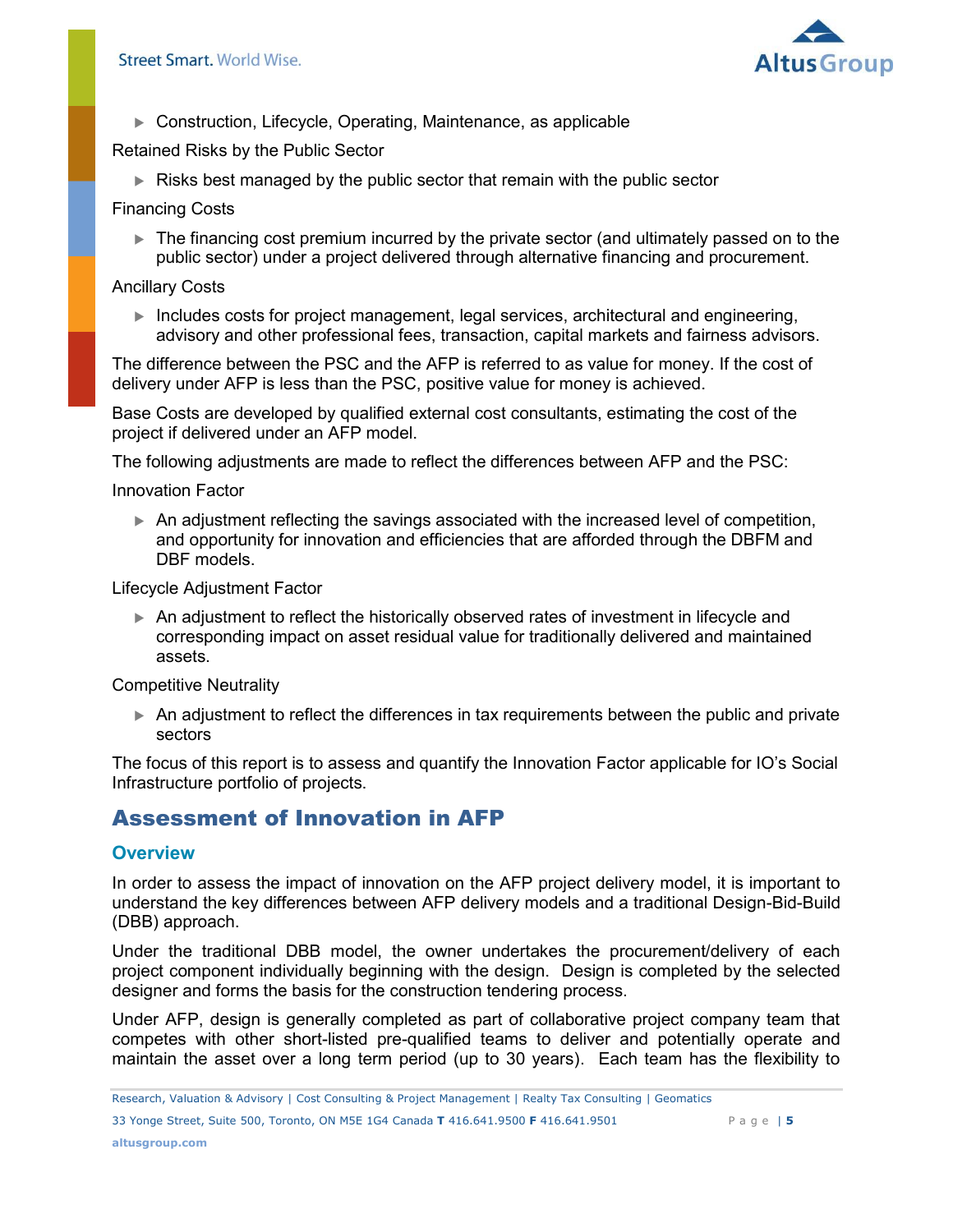

Construction, Lifecycle, Operating, Maintenance, as applicable

Retained Risks by the Public Sector

Risks best managed by the public sector that remain with the public sector

Financing Costs

 The financing cost premium incurred by the private sector (and ultimately passed on to the public sector) under a project delivered through alternative financing and procurement.

#### Ancillary Costs

 Includes costs for project management, legal services, architectural and engineering, advisory and other professional fees, transaction, capital markets and fairness advisors.

The difference between the PSC and the AFP is referred to as value for money. If the cost of delivery under AFP is less than the PSC, positive value for money is achieved.

Base Costs are developed by qualified external cost consultants, estimating the cost of the project if delivered under an AFP model.

The following adjustments are made to reflect the differences between AFP and the PSC:

Innovation Factor

 An adjustment reflecting the savings associated with the increased level of competition, and opportunity for innovation and efficiencies that are afforded through the DBFM and DBF models.

Lifecycle Adjustment Factor

 An adjustment to reflect the historically observed rates of investment in lifecycle and corresponding impact on asset residual value for traditionally delivered and maintained assets.

Competitive Neutrality

 An adjustment to reflect the differences in tax requirements between the public and private sectors

The focus of this report is to assess and quantify the Innovation Factor applicable for IO's Social Infrastructure portfolio of projects.

# <span id="page-4-0"></span>Assessment of Innovation in AFP

## <span id="page-4-1"></span>**Overview**

In order to assess the impact of innovation on the AFP project delivery model, it is important to understand the key differences between AFP delivery models and a traditional Design-Bid-Build (DBB) approach.

Under the traditional DBB model, the owner undertakes the procurement/delivery of each project component individually beginning with the design. Design is completed by the selected designer and forms the basis for the construction tendering process.

Under AFP, design is generally completed as part of collaborative project company team that competes with other short-listed pre-qualified teams to deliver and potentially operate and maintain the asset over a long term period (up to 30 years). Each team has the flexibility to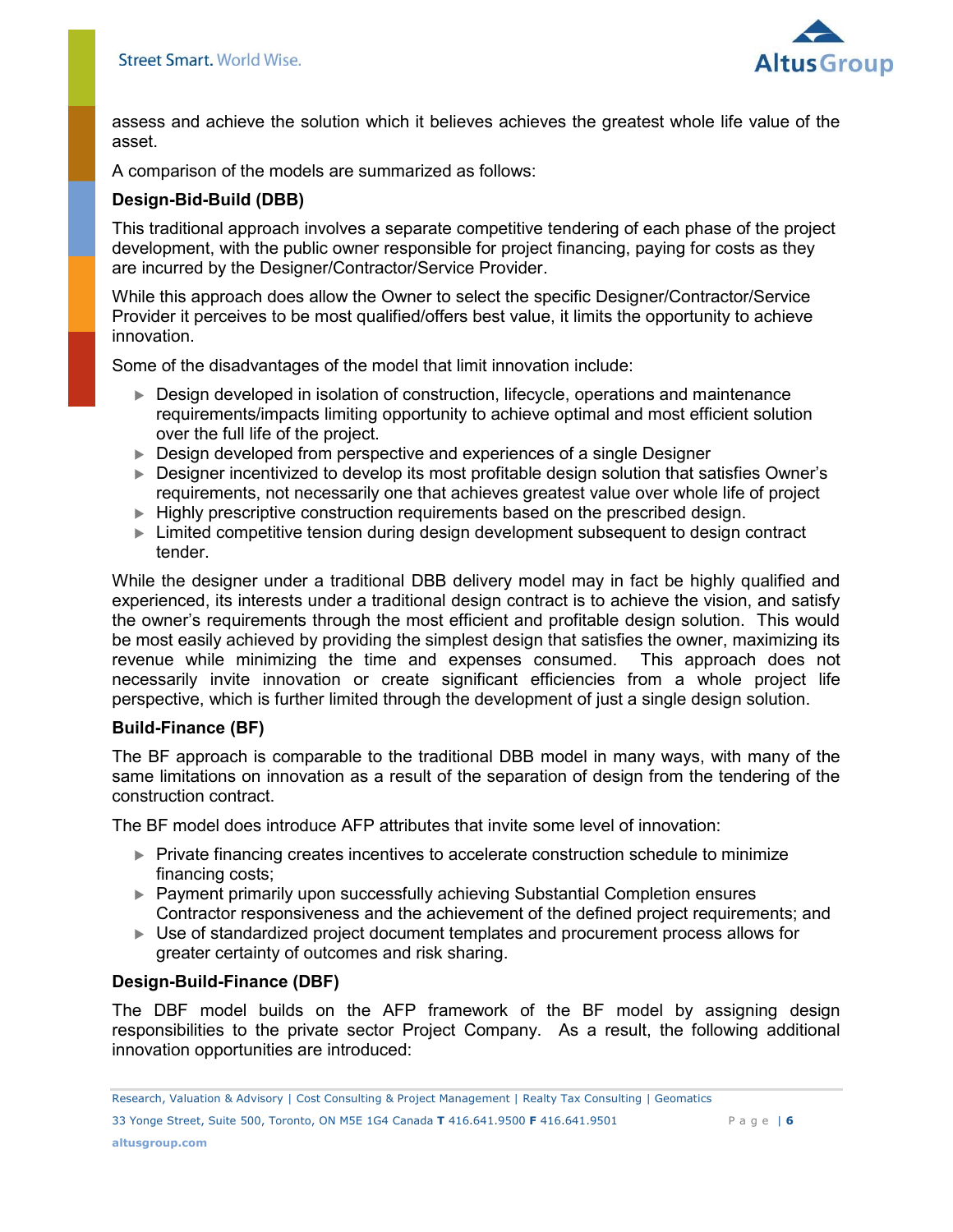

assess and achieve the solution which it believes achieves the greatest whole life value of the asset.

A comparison of the models are summarized as follows:

#### **Design-Bid-Build (DBB)**

This traditional approach involves a separate competitive tendering of each phase of the project development, with the public owner responsible for project financing, paying for costs as they are incurred by the Designer/Contractor/Service Provider.

While this approach does allow the Owner to select the specific Designer/Contractor/Service Provider it perceives to be most qualified/offers best value, it limits the opportunity to achieve innovation.

Some of the disadvantages of the model that limit innovation include:

- Design developed in isolation of construction, lifecycle, operations and maintenance requirements/impacts limiting opportunity to achieve optimal and most efficient solution over the full life of the project.
- ► Design developed from perspective and experiences of a single Designer
- ▶ Designer incentivized to develop its most profitable design solution that satisfies Owner's requirements, not necessarily one that achieves greatest value over whole life of project
- Highly prescriptive construction requirements based on the prescribed design.
- Limited competitive tension during design development subsequent to design contract tender.

While the designer under a traditional DBB delivery model may in fact be highly qualified and experienced, its interests under a traditional design contract is to achieve the vision, and satisfy the owner's requirements through the most efficient and profitable design solution. This would be most easily achieved by providing the simplest design that satisfies the owner, maximizing its revenue while minimizing the time and expenses consumed. This approach does not necessarily invite innovation or create significant efficiencies from a whole project life perspective, which is further limited through the development of just a single design solution.

#### **Build-Finance (BF)**

The BF approach is comparable to the traditional DBB model in many ways, with many of the same limitations on innovation as a result of the separation of design from the tendering of the construction contract.

The BF model does introduce AFP attributes that invite some level of innovation:

- Private financing creates incentives to accelerate construction schedule to minimize financing costs;
- Payment primarily upon successfully achieving Substantial Completion ensures Contractor responsiveness and the achievement of the defined project requirements; and
- Use of standardized project document templates and procurement process allows for greater certainty of outcomes and risk sharing.

#### **Design-Build-Finance (DBF)**

The DBF model builds on the AFP framework of the BF model by assigning design responsibilities to the private sector Project Company. As a result, the following additional innovation opportunities are introduced: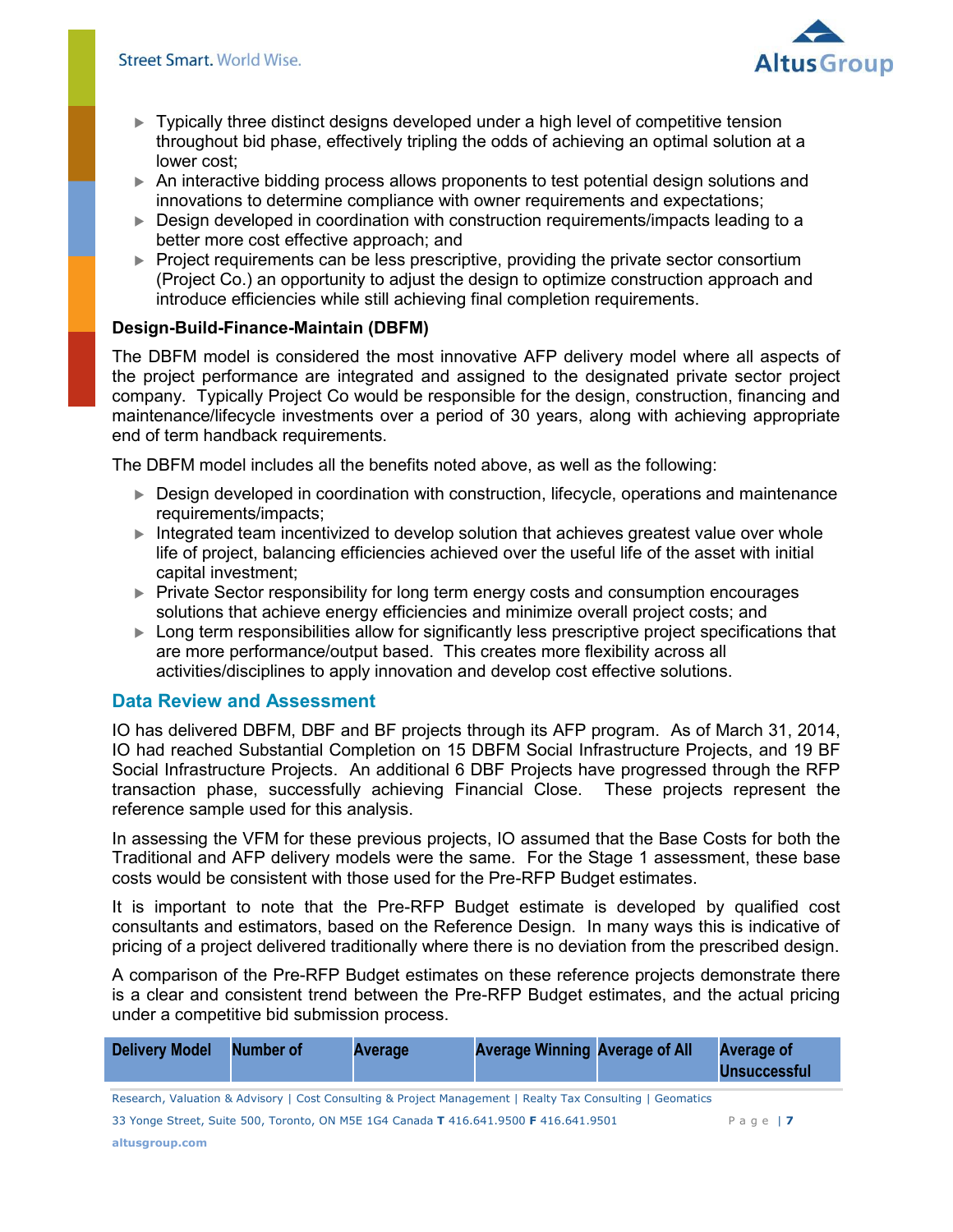

- Typically three distinct designs developed under a high level of competitive tension throughout bid phase, effectively tripling the odds of achieving an optimal solution at a lower cost;
- An interactive bidding process allows proponents to test potential design solutions and innovations to determine compliance with owner requirements and expectations;
- ▶ Design developed in coordination with construction requirements/impacts leading to a better more cost effective approach; and
- Project requirements can be less prescriptive, providing the private sector consortium (Project Co.) an opportunity to adjust the design to optimize construction approach and introduce efficiencies while still achieving final completion requirements.

## **Design-Build-Finance-Maintain (DBFM)**

The DBFM model is considered the most innovative AFP delivery model where all aspects of the project performance are integrated and assigned to the designated private sector project company. Typically Project Co would be responsible for the design, construction, financing and maintenance/lifecycle investments over a period of 30 years, along with achieving appropriate end of term handback requirements.

The DBFM model includes all the benefits noted above, as well as the following:

- Design developed in coordination with construction, lifecycle, operations and maintenance requirements/impacts;
- Integrated team incentivized to develop solution that achieves greatest value over whole life of project, balancing efficiencies achieved over the useful life of the asset with initial capital investment;
- ▶ Private Sector responsibility for long term energy costs and consumption encourages solutions that achieve energy efficiencies and minimize overall project costs; and
- Long term responsibilities allow for significantly less prescriptive project specifications that are more performance/output based. This creates more flexibility across all activities/disciplines to apply innovation and develop cost effective solutions.

## <span id="page-6-0"></span>**Data Review and Assessment**

IO has delivered DBFM, DBF and BF projects through its AFP program. As of March 31, 2014, IO had reached Substantial Completion on 15 DBFM Social Infrastructure Projects, and 19 BF Social Infrastructure Projects. An additional 6 DBF Projects have progressed through the RFP transaction phase, successfully achieving Financial Close. These projects represent the reference sample used for this analysis.

In assessing the VFM for these previous projects, IO assumed that the Base Costs for both the Traditional and AFP delivery models were the same. For the Stage 1 assessment, these base costs would be consistent with those used for the Pre-RFP Budget estimates.

It is important to note that the Pre-RFP Budget estimate is developed by qualified cost consultants and estimators, based on the Reference Design. In many ways this is indicative of pricing of a project delivered traditionally where there is no deviation from the prescribed design.

A comparison of the Pre-RFP Budget estimates on these reference projects demonstrate there is a clear and consistent trend between the Pre-RFP Budget estimates, and the actual pricing under a competitive bid submission process.

| Delivery Model                                                                                            | Number of | <b>Average</b> | <b>Average Winning Average of All</b>                                                |  | <b>Average of</b><br><b>Unsuccessful</b> |
|-----------------------------------------------------------------------------------------------------------|-----------|----------------|--------------------------------------------------------------------------------------|--|------------------------------------------|
| Research, Valuation & Advisory   Cost Consulting & Project Management   Realty Tax Consulting   Geomatics |           |                |                                                                                      |  |                                          |
|                                                                                                           |           |                | 33 Yonge Street, Suite 500, Toronto, ON M5E 1G4 Canada T 416.641.9500 F 416.641.9501 |  | Page   $\overline{7}$                    |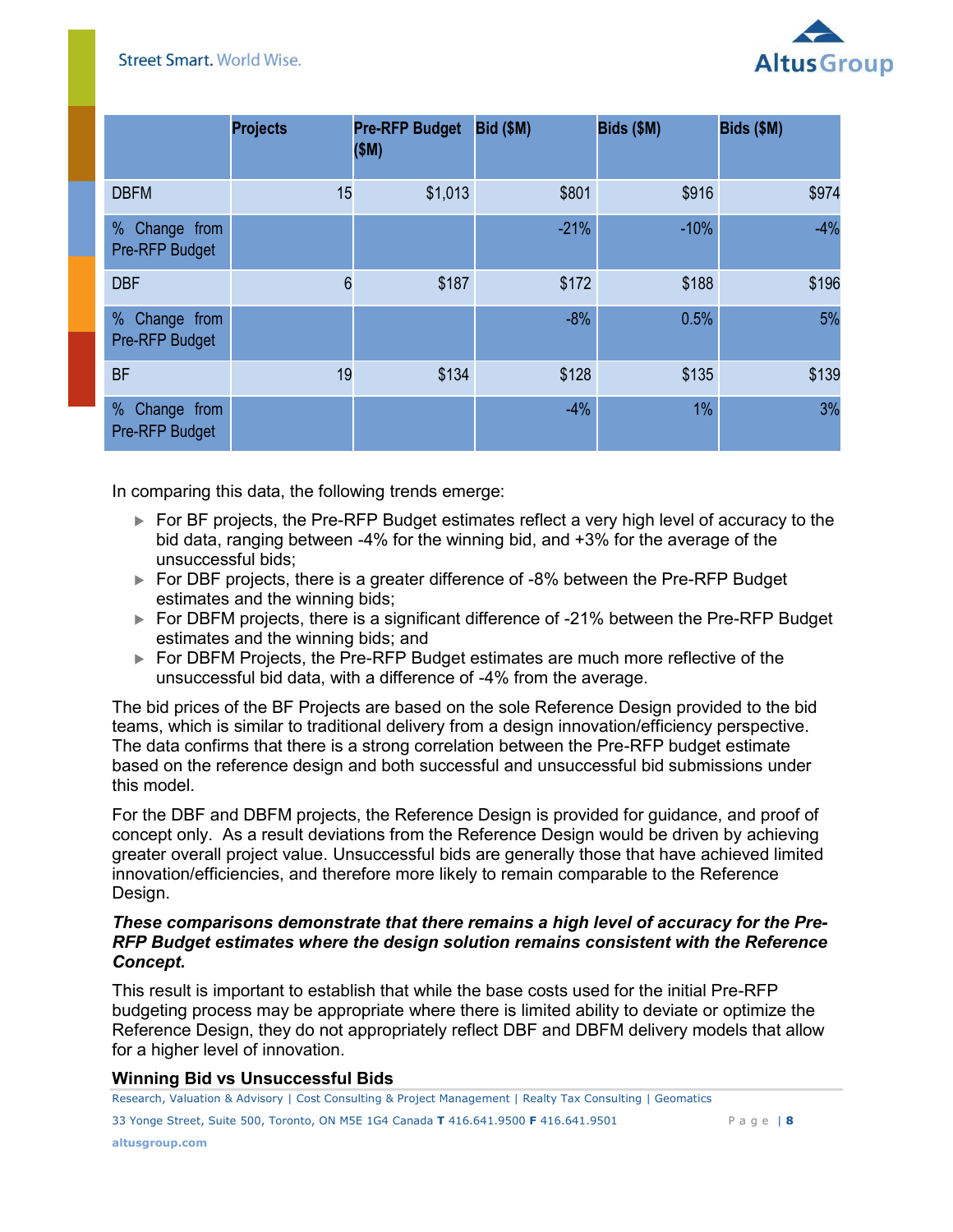

|                                    | <b>Projects</b> | <b>Pre-RFP Budget</b><br>(SM) | <b>Bid (\$M)</b> | Bids (\$M) | Bids (\$M) |
|------------------------------------|-----------------|-------------------------------|------------------|------------|------------|
| <b>DBFM</b>                        | 15              | \$1,013                       | \$801            | \$916      | \$974      |
| % Change from<br>Pre-RFP Budget    |                 |                               | $-21%$           | $-10%$     | $-4%$      |
| <b>DBF</b>                         | 6               | \$187                         | \$172            | \$188      | \$196      |
| % Change from<br>Pre-RFP Budget    |                 |                               | $-8%$            | 0.5%       | 5%         |
| <b>BF</b>                          | 19              | \$134                         | \$128            | \$135      | \$139      |
| %<br>Change from<br>Pre-RFP Budget |                 |                               | $-4%$            | 1%         | 3%         |

In comparing this data, the following trends emerge:

- ► For BF projects, the Pre-RFP Budget estimates reflect a very high level of accuracy to the bid data, ranging between -4% for the winning bid, and +3% for the average of the unsuccessful bids;
- ► For DBF projects, there is a greater difference of -8% between the Pre-RFP Budget estimates and the winning bids;
- ► For DBFM projects, there is a significant difference of -21% between the Pre-RFP Budget estimates and the winning bids; and
- ► For DBFM Projects, the Pre-RFP Budget estimates are much more reflective of the unsuccessful bid data, with a difference of -4% from the average.

The bid prices of the BF Projects are based on the sole Reference Design provided to the bid teams, which is similar to traditional delivery from a design innovation/efficiency perspective. The data confirms that there is a strong correlation between the Pre-RFP budget estimate based on the reference design and both successful and unsuccessful bid submissions under this model.

For the DBF and DBFM projects, the Reference Design is provided for guidance, and proof of concept only. As a result deviations from the Reference Design would be driven by achieving greater overall project value. Unsuccessful bids are generally those that have achieved limited innovation/efficiencies, and therefore more likely to remain comparable to the Reference Design.

#### *These comparisons demonstrate that there remains a high level of accuracy for the Pre-RFP Budget estimates where the design solution remains consistent with the Reference Concept.*

This result is important to establish that while the base costs used for the initial Pre-RFP budgeting process may be appropriate where there is limited ability to deviate or optimize the Reference Design, they do not appropriately reflect DBF and DBFM delivery models that allow for a higher level of innovation.

#### **Winning Bid vs Unsuccessful Bids**

33 Yonge Street, Suite 500, Toronto, ON M5E 1G4 Canada **T** 416.641.9500 **F** 416.641.9501 P a g e | **8** Research, Valuation & Advisory | Cost Consulting & Project Management | Realty Tax Consulting | Geomatics **Page |** 8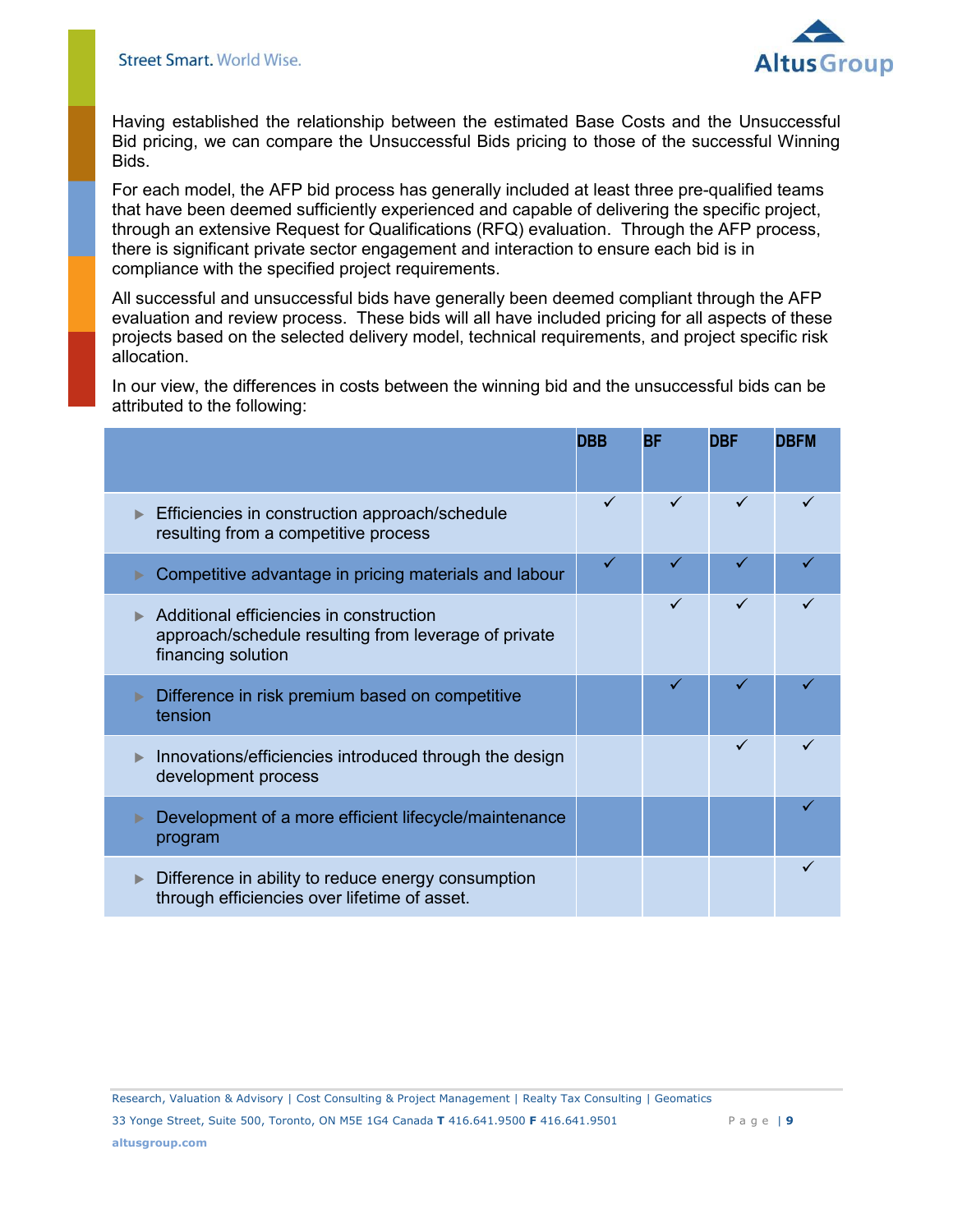

Having established the relationship between the estimated Base Costs and the Unsuccessful Bid pricing, we can compare the Unsuccessful Bids pricing to those of the successful Winning Bids.

For each model, the AFP bid process has generally included at least three pre-qualified teams that have been deemed sufficiently experienced and capable of delivering the specific project, through an extensive Request for Qualifications (RFQ) evaluation. Through the AFP process, there is significant private sector engagement and interaction to ensure each bid is in compliance with the specified project requirements.

All successful and unsuccessful bids have generally been deemed compliant through the AFP evaluation and review process. These bids will all have included pricing for all aspects of these projects based on the selected delivery model, technical requirements, and project specific risk allocation.

In our view, the differences in costs between the winning bid and the unsuccessful bids can be attributed to the following:

|                                                                                                                       | <b>DBB</b> | <b>BF</b> | <b>DBF</b> | <b>DBFM</b> |
|-----------------------------------------------------------------------------------------------------------------------|------------|-----------|------------|-------------|
| Efficiencies in construction approach/schedule<br>resulting from a competitive process                                |            |           |            |             |
| Competitive advantage in pricing materials and labour                                                                 |            | ✓         |            |             |
| Additional efficiencies in construction<br>approach/schedule resulting from leverage of private<br>financing solution |            |           | ✓          |             |
| Difference in risk premium based on competitive<br>tension                                                            |            |           |            |             |
| Innovations/efficiencies introduced through the design<br>development process                                         |            |           | ✓          |             |
| Development of a more efficient lifecycle/maintenance<br>program                                                      |            |           |            |             |
| Difference in ability to reduce energy consumption<br>through efficiencies over lifetime of asset.                    |            |           |            |             |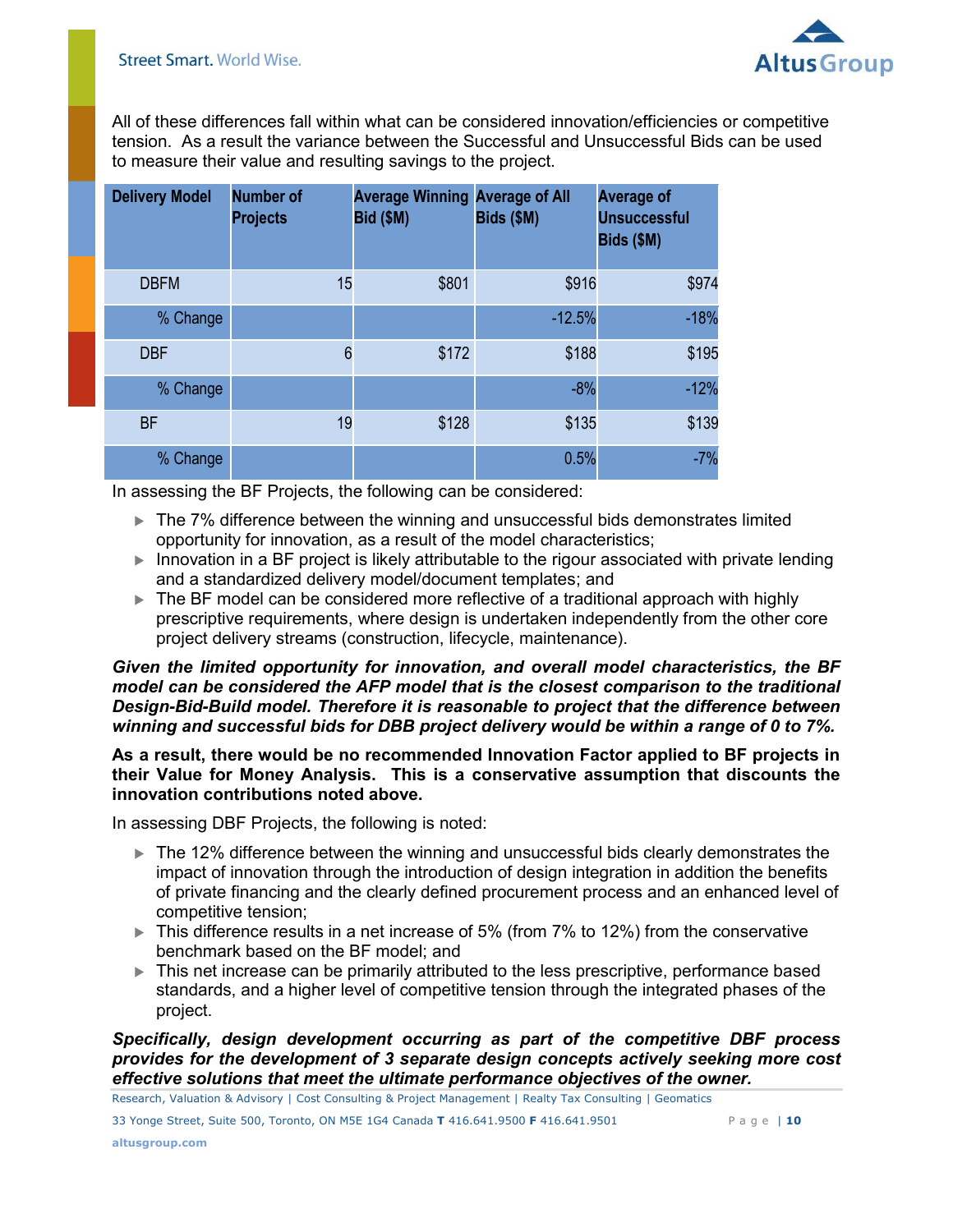

All of these differences fall within what can be considered innovation/efficiencies or competitive tension. As a result the variance between the Successful and Unsuccessful Bids can be used to measure their value and resulting savings to the project.

| <b>Delivery Model</b> | <b>Number of</b><br><b>Projects</b> | <b>Average Winning Average of All</b><br><b>Bid (\$M)</b> | Bids (\$M) | <b>Average of</b><br><b>Unsuccessful</b><br>Bids (\$M) |
|-----------------------|-------------------------------------|-----------------------------------------------------------|------------|--------------------------------------------------------|
| <b>DBFM</b>           | 15                                  | \$801                                                     | \$916      | \$974                                                  |
| % Change              |                                     |                                                           | $-12.5%$   | $-18%$                                                 |
| <b>DBF</b>            | 6                                   | \$172                                                     | \$188      | \$195                                                  |
| % Change              |                                     |                                                           | $-8%$      | $-12%$                                                 |
| <b>BF</b>             | 19                                  | \$128                                                     | \$135      | \$139                                                  |
| % Change              |                                     |                                                           | 0.5%       | $-7%$                                                  |

In assessing the BF Projects, the following can be considered:

- ▶ The 7% difference between the winning and unsuccessful bids demonstrates limited opportunity for innovation, as a result of the model characteristics;
- ▶ Innovation in a BF project is likely attributable to the rigour associated with private lending and a standardized delivery model/document templates; and
- ► The BF model can be considered more reflective of a traditional approach with highly prescriptive requirements, where design is undertaken independently from the other core project delivery streams (construction, lifecycle, maintenance).

*Given the limited opportunity for innovation, and overall model characteristics, the BF model can be considered the AFP model that is the closest comparison to the traditional Design-Bid-Build model. Therefore it is reasonable to project that the difference between winning and successful bids for DBB project delivery would be within a range of 0 to 7%.* 

**As a result, there would be no recommended Innovation Factor applied to BF projects in their Value for Money Analysis. This is a conservative assumption that discounts the innovation contributions noted above.** 

In assessing DBF Projects, the following is noted:

- ▶ The 12% difference between the winning and unsuccessful bids clearly demonstrates the impact of innovation through the introduction of design integration in addition the benefits of private financing and the clearly defined procurement process and an enhanced level of competitive tension;
- ► This difference results in a net increase of 5% (from 7% to 12%) from the conservative benchmark based on the BF model; and
- This net increase can be primarily attributed to the less prescriptive, performance based standards, and a higher level of competitive tension through the integrated phases of the project.

*Specifically, design development occurring as part of the competitive DBF process provides for the development of 3 separate design concepts actively seeking more cost effective solutions that meet the ultimate performance objectives of the owner.* 

Research, Valuation & Advisory | Cost Consulting & Project Management | Realty Tax Consulting | Geomatics **Page |** 10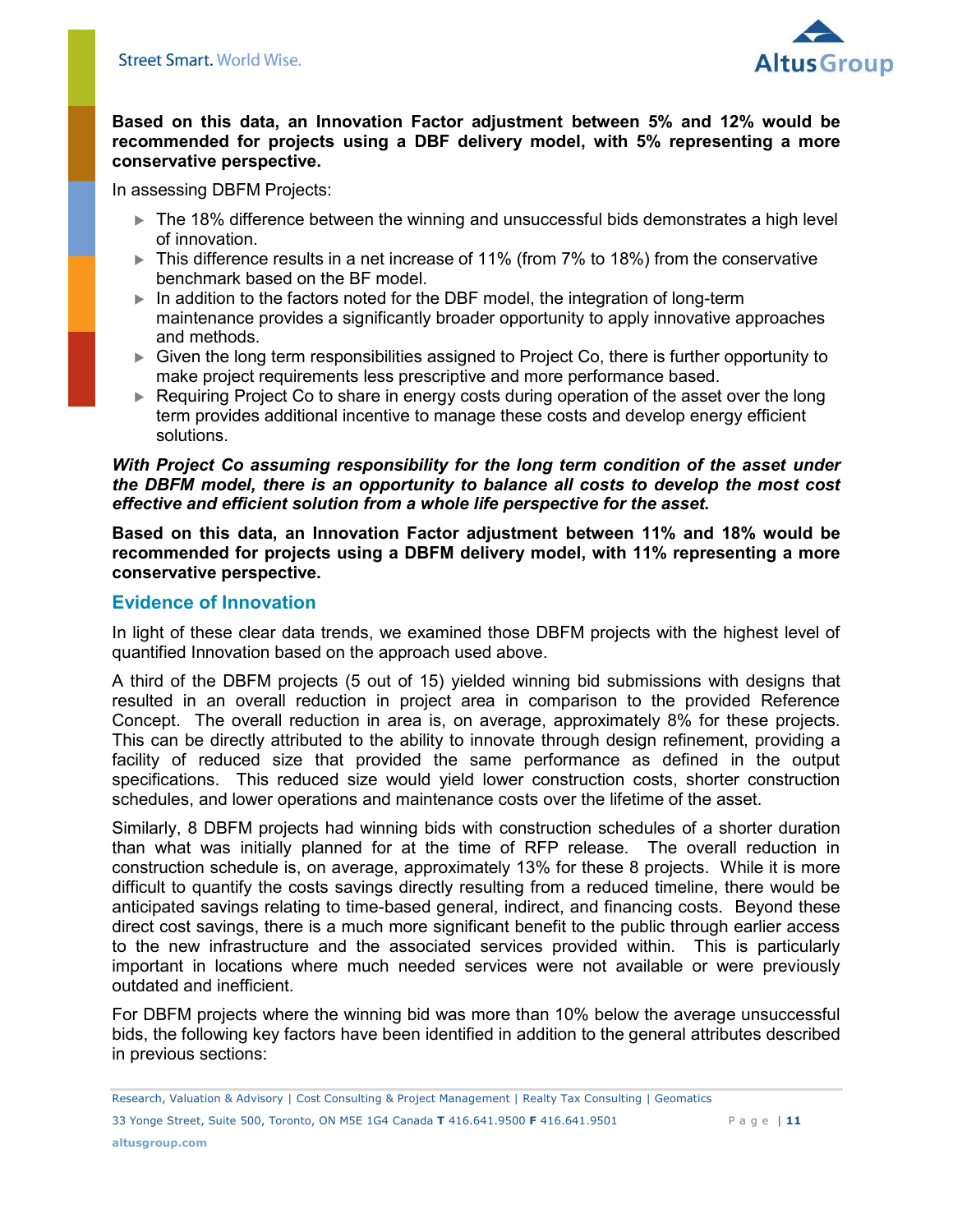

## **Based on this data, an Innovation Factor adjustment between 5% and 12% would be recommended for projects using a DBF delivery model, with 5% representing a more conservative perspective.**

In assessing DBFM Projects:

- ▶ The 18% difference between the winning and unsuccessful bids demonstrates a high level of innovation.
- ► This difference results in a net increase of 11% (from 7% to 18%) from the conservative benchmark based on the BF model.
- In addition to the factors noted for the DBF model, the integration of long-term maintenance provides a significantly broader opportunity to apply innovative approaches and methods.
- Given the long term responsibilities assigned to Project Co, there is further opportunity to make project requirements less prescriptive and more performance based.
- ► Requiring Project Co to share in energy costs during operation of the asset over the long term provides additional incentive to manage these costs and develop energy efficient solutions.

#### *With Project Co assuming responsibility for the long term condition of the asset under the DBFM model, there is an opportunity to balance all costs to develop the most cost effective and efficient solution from a whole life perspective for the asset.*

**Based on this data, an Innovation Factor adjustment between 11% and 18% would be recommended for projects using a DBFM delivery model, with 11% representing a more conservative perspective.** 

## <span id="page-10-0"></span>**Evidence of Innovation**

In light of these clear data trends, we examined those DBFM projects with the highest level of quantified Innovation based on the approach used above.

A third of the DBFM projects (5 out of 15) yielded winning bid submissions with designs that resulted in an overall reduction in project area in comparison to the provided Reference Concept. The overall reduction in area is, on average, approximately 8% for these projects. This can be directly attributed to the ability to innovate through design refinement, providing a facility of reduced size that provided the same performance as defined in the output specifications. This reduced size would yield lower construction costs, shorter construction schedules, and lower operations and maintenance costs over the lifetime of the asset.

Similarly, 8 DBFM projects had winning bids with construction schedules of a shorter duration than what was initially planned for at the time of RFP release. The overall reduction in construction schedule is, on average, approximately 13% for these 8 projects. While it is more difficult to quantify the costs savings directly resulting from a reduced timeline, there would be anticipated savings relating to time-based general, indirect, and financing costs. Beyond these direct cost savings, there is a much more significant benefit to the public through earlier access to the new infrastructure and the associated services provided within. This is particularly important in locations where much needed services were not available or were previously outdated and inefficient.

For DBFM projects where the winning bid was more than 10% below the average unsuccessful bids, the following key factors have been identified in addition to the general attributes described in previous sections:

<sup>33</sup> Yonge Street, Suite 500, Toronto, ON M5E 1G4 Canada **T** 416.641.9500 **F** 416.641.9501 P a g e | **11** Research, Valuation & Advisory | Cost Consulting & Project Management | Realty Tax Consulting | Geomatics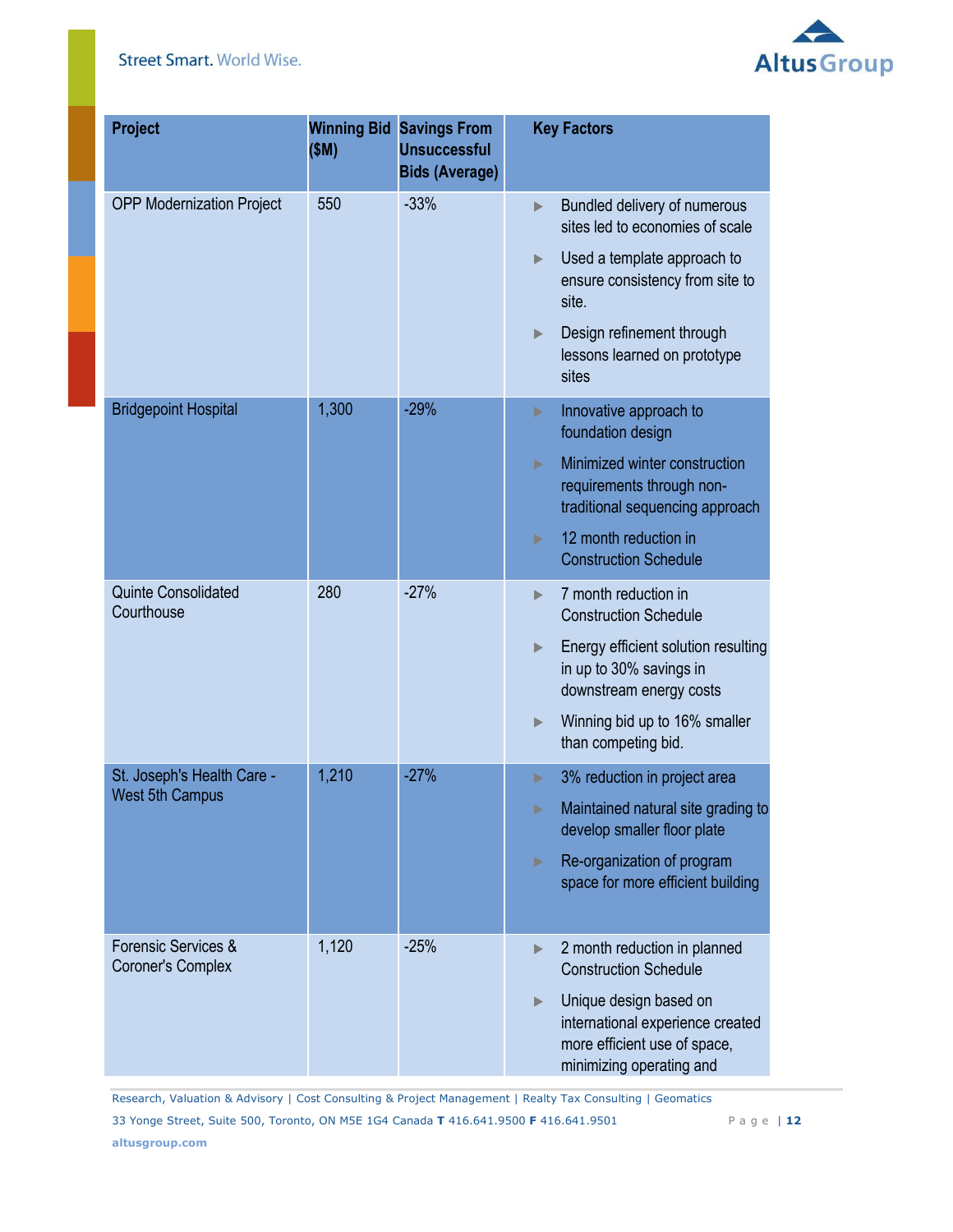## **Street Smart. World Wise.**



| <b>Project</b>                                  | <b>Winning Bid</b><br>(SM) | <b>Savings From</b><br><b>Unsuccessful</b><br><b>Bids (Average)</b> | <b>Key Factors</b>                                                                                                          |  |
|-------------------------------------------------|----------------------------|---------------------------------------------------------------------|-----------------------------------------------------------------------------------------------------------------------------|--|
| <b>OPP Modernization Project</b>                | 550                        | $-33%$                                                              | Bundled delivery of numerous<br>$\blacktriangleright$<br>sites led to economies of scale                                    |  |
|                                                 |                            |                                                                     | Used a template approach to<br>▶<br>ensure consistency from site to<br>site.                                                |  |
|                                                 |                            |                                                                     | Design refinement through<br>$\blacktriangleright$<br>lessons learned on prototype<br>sites                                 |  |
| <b>Bridgepoint Hospital</b>                     | 1,300                      | $-29%$                                                              | Innovative approach to<br>▶<br>foundation design                                                                            |  |
|                                                 |                            |                                                                     | Minimized winter construction<br>ь<br>requirements through non-<br>traditional sequencing approach                          |  |
|                                                 |                            |                                                                     | 12 month reduction in<br>ь<br><b>Construction Schedule</b>                                                                  |  |
| <b>Quinte Consolidated</b><br>Courthouse        | 280                        | $-27%$                                                              | 7 month reduction in<br>ь<br><b>Construction Schedule</b>                                                                   |  |
|                                                 |                            |                                                                     | Energy efficient solution resulting<br>$\blacktriangleright$<br>in up to 30% savings in<br>downstream energy costs          |  |
|                                                 |                            |                                                                     | Winning bid up to 16% smaller<br>$\blacktriangleright$<br>than competing bid.                                               |  |
| St. Joseph's Health Care -                      | 1,210                      | $-27%$                                                              | 3% reduction in project area<br>▶                                                                                           |  |
| <b>West 5th Campus</b>                          |                            |                                                                     | Maintained natural site grading to<br>ь<br>develop smaller floor plate                                                      |  |
|                                                 |                            |                                                                     | Re-organization of program<br>Þ<br>space for more efficient building                                                        |  |
| Forensic Services &<br><b>Coroner's Complex</b> | 1,120                      | $-25%$                                                              | 2 month reduction in planned<br>$\blacktriangleright$<br><b>Construction Schedule</b>                                       |  |
|                                                 |                            |                                                                     | Unique design based on<br>▶<br>international experience created<br>more efficient use of space,<br>minimizing operating and |  |

Research, Valuation & Advisory | Cost Consulting & Project Management | Realty Tax Consulting | Geomatics **Page |** 12

33 Yonge Street, Suite 500, Toronto, ON M5E 1G4 Canada **T** 416.641.9500 **F** 416.641.9501 P a g e | **12**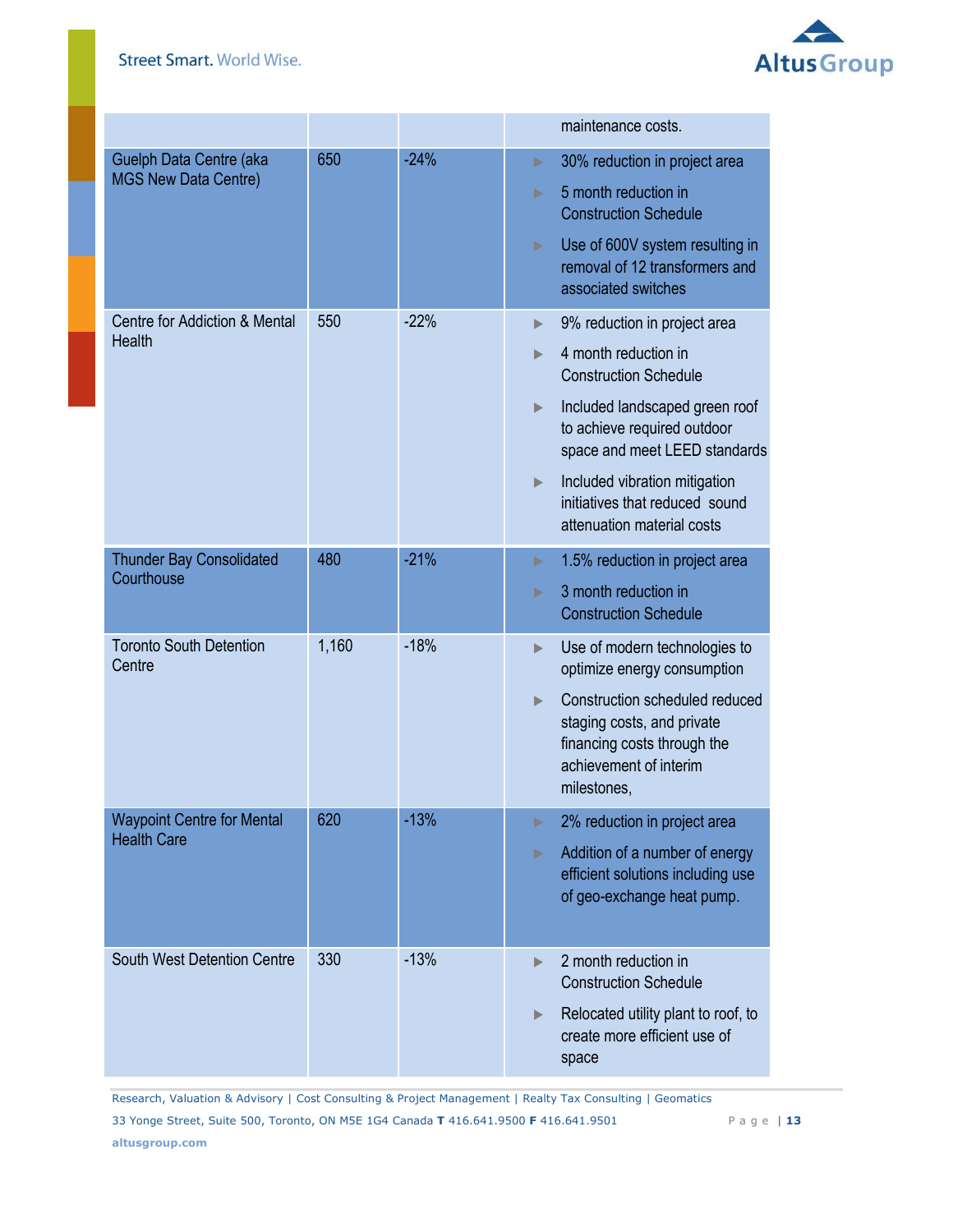

|                                                         |       |        | maintenance costs.                                                                                                                                                                                                                                                                                     |
|---------------------------------------------------------|-------|--------|--------------------------------------------------------------------------------------------------------------------------------------------------------------------------------------------------------------------------------------------------------------------------------------------------------|
| Guelph Data Centre (aka<br><b>MGS New Data Centre)</b>  | 650   | $-24%$ | 30% reduction in project area<br>Þ<br>5 month reduction in<br>ь<br><b>Construction Schedule</b><br>Use of 600V system resulting in<br>$\blacktriangleright$<br>removal of 12 transformers and<br>associated switches                                                                                   |
| Centre for Addiction & Mental<br><b>Health</b>          | 550   | $-22%$ | 9% reduction in project area<br>▶<br>4 month reduction in<br><b>Construction Schedule</b><br>Included landscaped green roof<br>▶<br>to achieve required outdoor<br>space and meet LEED standards<br>Included vibration mitigation<br>▶<br>initiatives that reduced sound<br>attenuation material costs |
| <b>Thunder Bay Consolidated</b><br>Courthouse           | 480   | $-21%$ | 1.5% reduction in project area<br>Þ<br>3 month reduction in<br>ь<br><b>Construction Schedule</b>                                                                                                                                                                                                       |
| <b>Toronto South Detention</b><br>Centre                | 1,160 | $-18%$ | Use of modern technologies to<br>▶<br>optimize energy consumption<br>Construction scheduled reduced<br>staging costs, and private<br>financing costs through the<br>achievement of interim<br>milestones,                                                                                              |
| <b>Waypoint Centre for Mental</b><br><b>Health Care</b> | 620   | $-13%$ | 2% reduction in project area<br>▶<br>Addition of a number of energy<br>Þ<br>efficient solutions including use<br>of geo-exchange heat pump.                                                                                                                                                            |
| South West Detention Centre                             | 330   | $-13%$ | 2 month reduction in<br><b>Construction Schedule</b><br>Relocated utility plant to roof, to<br>▶<br>create more efficient use of<br>space                                                                                                                                                              |

Research, Valuation & Advisory | Cost Consulting & Project Management | Realty Tax Consulting | Geomatics **Page |** 13

33 Yonge Street, Suite 500, Toronto, ON M5E 1G4 Canada **T** 416.641.9500 **F** 416.641.9501 P a g e | **13**

**altusgroup.com**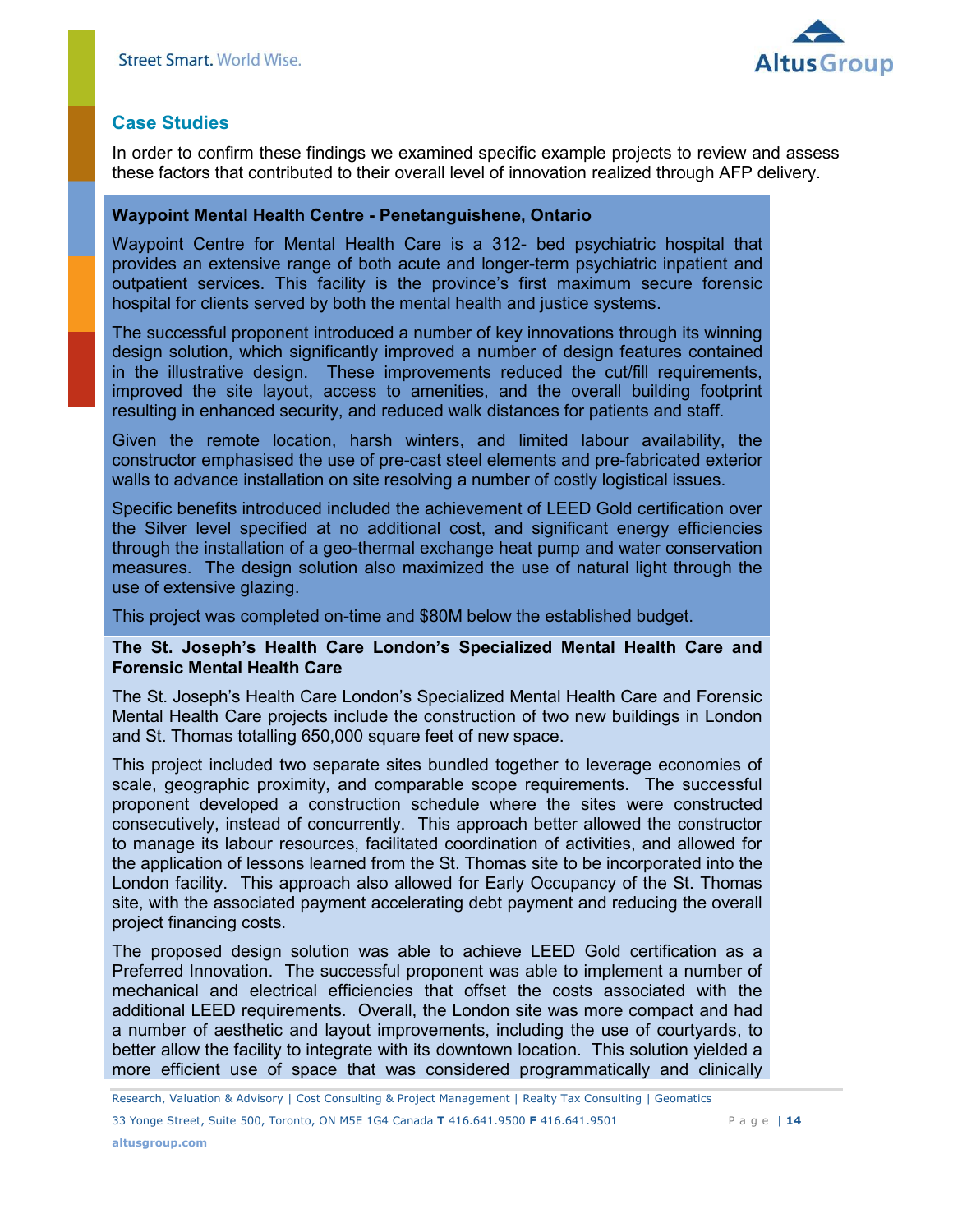

## <span id="page-13-0"></span>**Case Studies**

In order to confirm these findings we examined specific example projects to review and assess these factors that contributed to their overall level of innovation realized through AFP delivery.

#### **Waypoint Mental Health Centre - Penetanguishene, Ontario**

Waypoint Centre for Mental Health Care is a 312- bed psychiatric hospital that provides an extensive range of both acute and longer-term psychiatric inpatient and outpatient services. This facility is the province's first maximum secure forensic hospital for clients served by both the mental health and justice systems.

The successful proponent introduced a number of key innovations through its winning design solution, which significantly improved a number of design features contained in the illustrative design. These improvements reduced the cut/fill requirements, improved the site layout, access to amenities, and the overall building footprint resulting in enhanced security, and reduced walk distances for patients and staff.

Given the remote location, harsh winters, and limited labour availability, the constructor emphasised the use of pre-cast steel elements and pre-fabricated exterior walls to advance installation on site resolving a number of costly logistical issues.

Specific benefits introduced included the achievement of LEED Gold certification over the Silver level specified at no additional cost, and significant energy efficiencies through the installation of a geo-thermal exchange heat pump and water conservation measures. The design solution also maximized the use of natural light through the use of extensive glazing.

This project was completed on-time and \$80M below the established budget.

#### **The St. Joseph's Health Care London's Specialized Mental Health Care and Forensic Mental Health Care**

The St. Joseph's Health Care London's Specialized Mental Health Care and Forensic Mental Health Care projects include the construction of two new buildings in London and St. Thomas totalling 650,000 square feet of new space.

This project included two separate sites bundled together to leverage economies of scale, geographic proximity, and comparable scope requirements. The successful proponent developed a construction schedule where the sites were constructed consecutively, instead of concurrently. This approach better allowed the constructor to manage its labour resources, facilitated coordination of activities, and allowed for the application of lessons learned from the St. Thomas site to be incorporated into the London facility. This approach also allowed for Early Occupancy of the St. Thomas site, with the associated payment accelerating debt payment and reducing the overall project financing costs.

The proposed design solution was able to achieve LEED Gold certification as a Preferred Innovation. The successful proponent was able to implement a number of mechanical and electrical efficiencies that offset the costs associated with the additional LEED requirements. Overall, the London site was more compact and had a number of aesthetic and layout improvements, including the use of courtyards, to better allow the facility to integrate with its downtown location. This solution yielded a more efficient use of space that was considered programmatically and clinically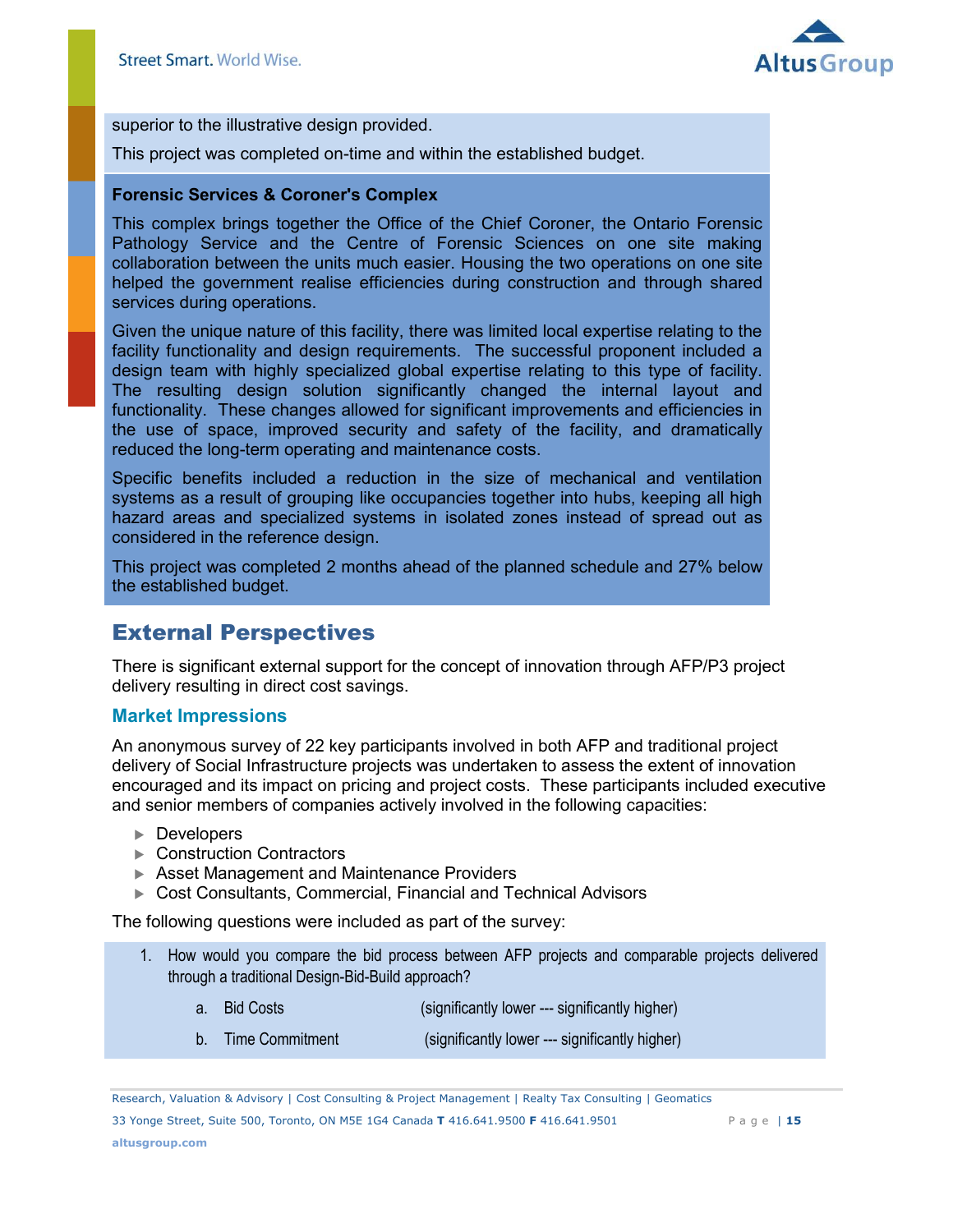

superior to the illustrative design provided.

This project was completed on-time and within the established budget.

#### **Forensic Services & Coroner's Complex**

This complex brings together the Office of the Chief Coroner, the Ontario Forensic Pathology Service and the Centre of Forensic Sciences on one site making collaboration between the units much easier. Housing the two operations on one site helped the government realise efficiencies during construction and through shared services during operations.

Given the unique nature of this facility, there was limited local expertise relating to the facility functionality and design requirements. The successful proponent included a design team with highly specialized global expertise relating to this type of facility. The resulting design solution significantly changed the internal layout and functionality. These changes allowed for significant improvements and efficiencies in the use of space, improved security and safety of the facility, and dramatically reduced the long-term operating and maintenance costs.

Specific benefits included a reduction in the size of mechanical and ventilation systems as a result of grouping like occupancies together into hubs, keeping all high hazard areas and specialized systems in isolated zones instead of spread out as considered in the reference design.

This project was completed 2 months ahead of the planned schedule and 27% below the established budget.

## <span id="page-14-0"></span>External Perspectives

There is significant external support for the concept of innovation through AFP/P3 project delivery resulting in direct cost savings.

#### <span id="page-14-1"></span>**Market Impressions**

An anonymous survey of 22 key participants involved in both AFP and traditional project delivery of Social Infrastructure projects was undertaken to assess the extent of innovation encouraged and its impact on pricing and project costs. These participants included executive and senior members of companies actively involved in the following capacities:

- ▶ Developers
- ▶ Construction Contractors
- Asset Management and Maintenance Providers
- Cost Consultants, Commercial, Financial and Technical Advisors

The following questions were included as part of the survey:

- 1. How would you compare the bid process between AFP projects and comparable projects delivered through a traditional Design-Bid-Build approach?
	- a. Bid Costs (significantly lower --- significantly higher)
	- b. Time Commitment (significantly lower --- significantly higher)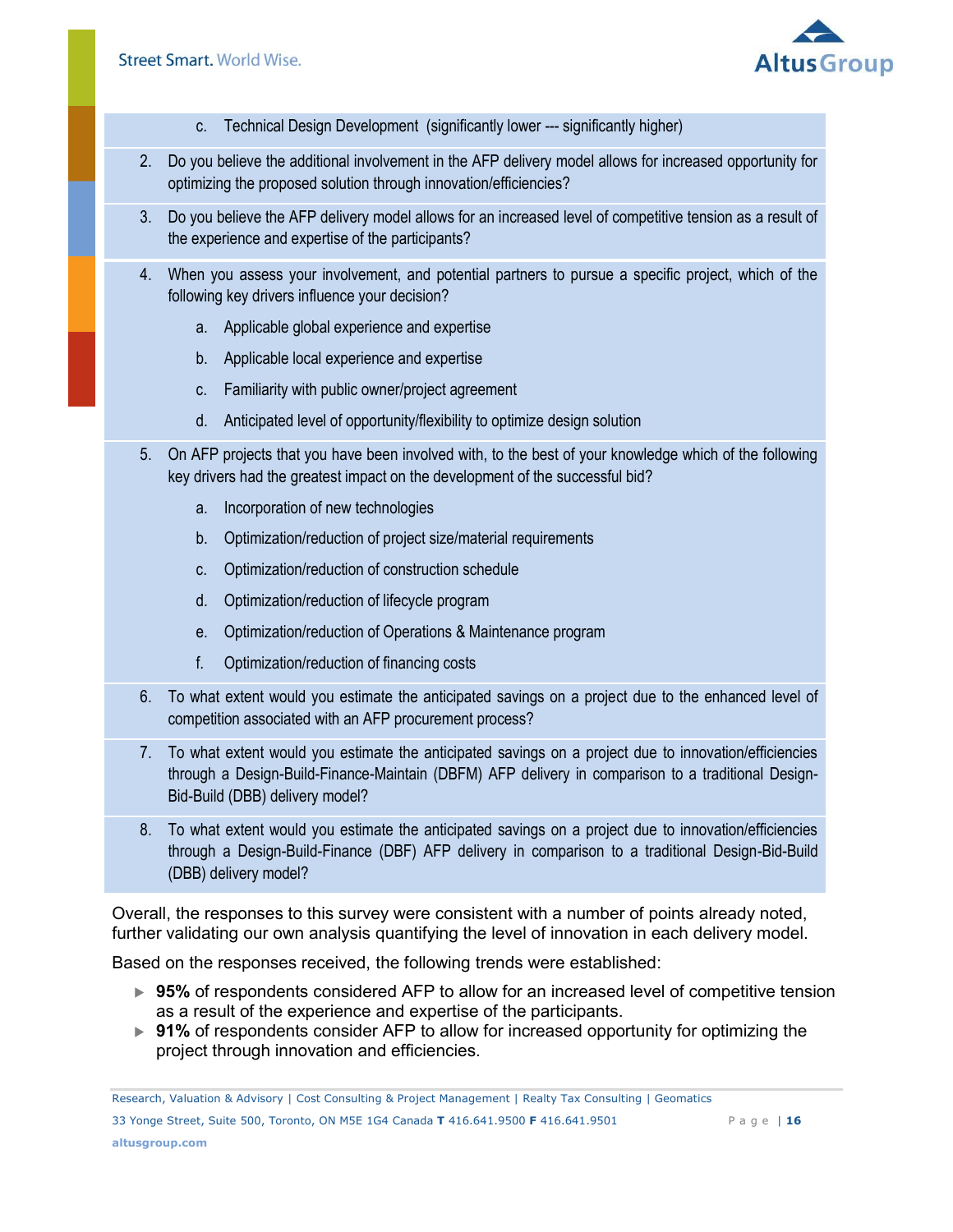

- c. Technical Design Development (significantly lower --- significantly higher)
- 2. Do you believe the additional involvement in the AFP delivery model allows for increased opportunity for optimizing the proposed solution through innovation/efficiencies?
- 3. Do you believe the AFP delivery model allows for an increased level of competitive tension as a result of the experience and expertise of the participants?
- 4. When you assess your involvement, and potential partners to pursue a specific project, which of the following key drivers influence your decision?
	- a. Applicable global experience and expertise
	- b. Applicable local experience and expertise
	- c. Familiarity with public owner/project agreement
	- d. Anticipated level of opportunity/flexibility to optimize design solution
- 5. On AFP projects that you have been involved with, to the best of your knowledge which of the following key drivers had the greatest impact on the development of the successful bid?
	- a. Incorporation of new technologies
	- b. Optimization/reduction of project size/material requirements
	- c. Optimization/reduction of construction schedule
	- d. Optimization/reduction of lifecycle program
	- e. Optimization/reduction of Operations & Maintenance program
	- f. Optimization/reduction of financing costs
- 6. To what extent would you estimate the anticipated savings on a project due to the enhanced level of competition associated with an AFP procurement process?
- 7. To what extent would you estimate the anticipated savings on a project due to innovation/efficiencies through a Design-Build-Finance-Maintain (DBFM) AFP delivery in comparison to a traditional Design-Bid-Build (DBB) delivery model?
- 8. To what extent would you estimate the anticipated savings on a project due to innovation/efficiencies through a Design-Build-Finance (DBF) AFP delivery in comparison to a traditional Design-Bid-Build (DBB) delivery model?

Overall, the responses to this survey were consistent with a number of points already noted, further validating our own analysis quantifying the level of innovation in each delivery model.

Based on the responses received, the following trends were established:

- ► 95% of respondents considered AFP to allow for an increased level of competitive tension as a result of the experience and expertise of the participants.
- ► 91% of respondents consider AFP to allow for increased opportunity for optimizing the project through innovation and efficiencies.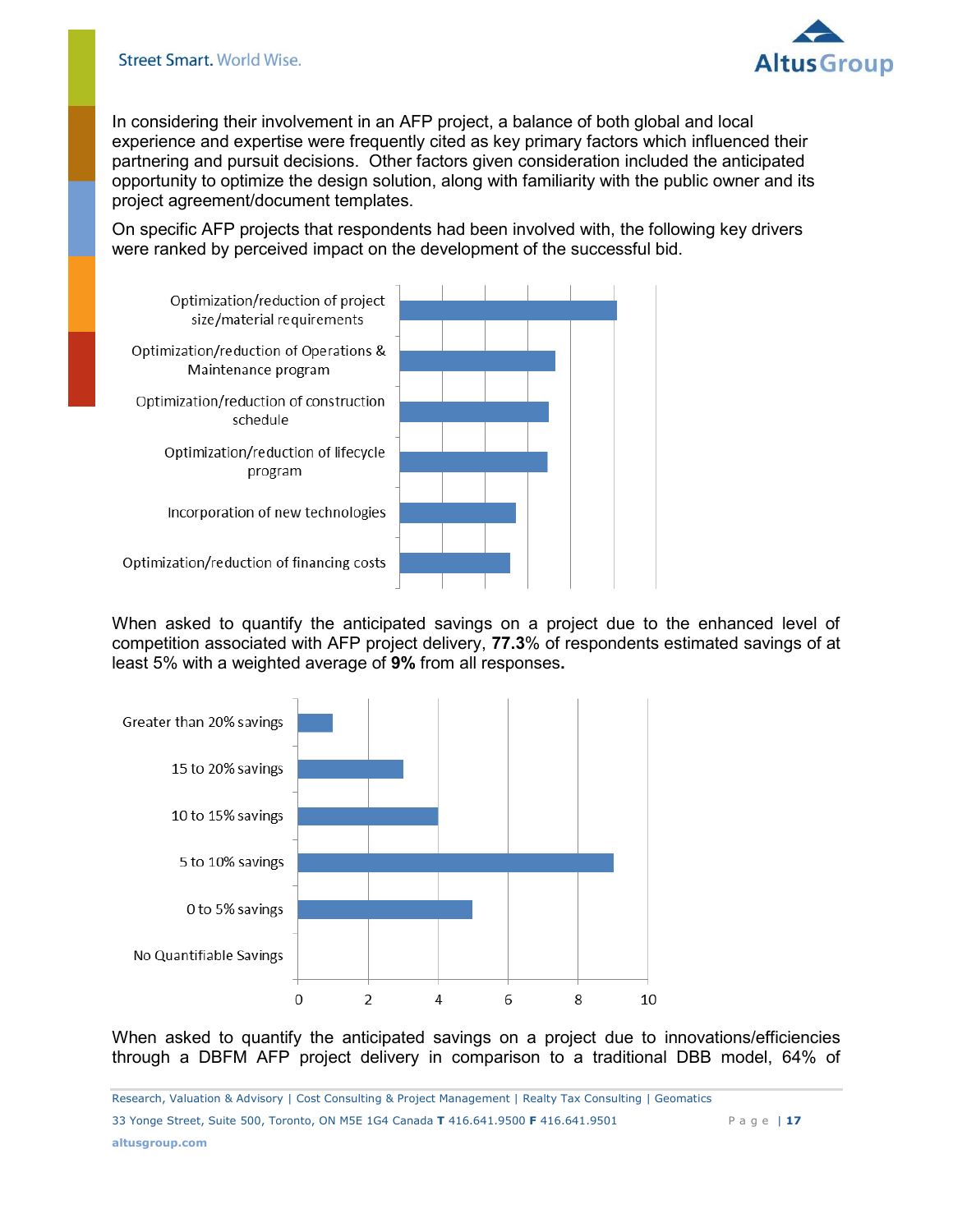

In considering their involvement in an AFP project, a balance of both global and local experience and expertise were frequently cited as key primary factors which influenced their partnering and pursuit decisions. Other factors given consideration included the anticipated opportunity to optimize the design solution, along with familiarity with the public owner and its project agreement/document templates.

On specific AFP projects that respondents had been involved with, the following key drivers were ranked by perceived impact on the development of the successful bid.



When asked to quantify the anticipated savings on a project due to the enhanced level of competition associated with AFP project delivery, **77.3**% of respondents estimated savings of at least 5% with a weighted average of **9%** from all responses**.** 



When asked to quantify the anticipated savings on a project due to innovations/efficiencies through a DBFM AFP project delivery in comparison to a traditional DBB model, 64% of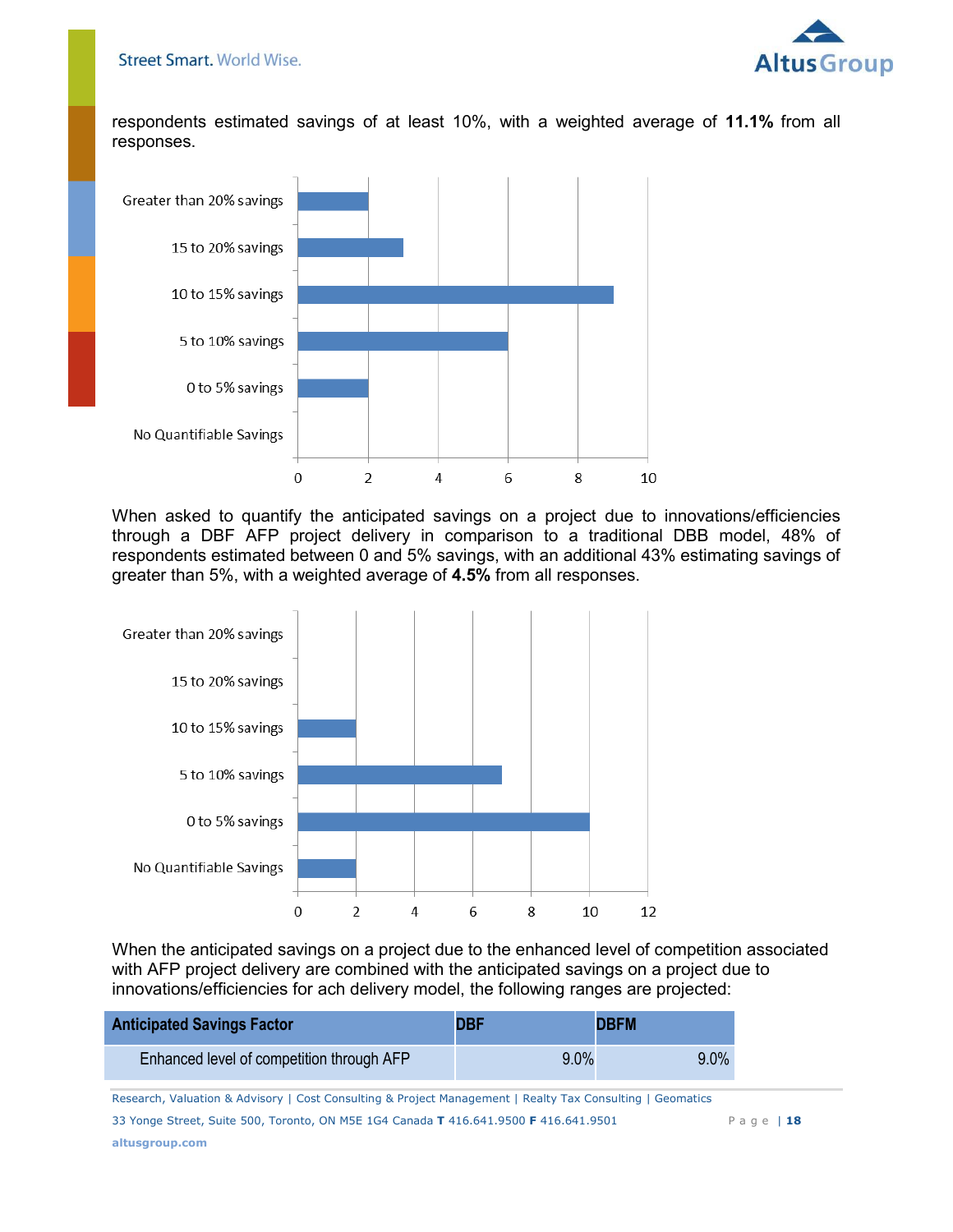

respondents estimated savings of at least 10%, with a weighted average of **11.1%** from all responses.



When asked to quantify the anticipated savings on a project due to innovations/efficiencies through a DBF AFP project delivery in comparison to a traditional DBB model, 48% of respondents estimated between 0 and 5% savings, with an additional 43% estimating savings of greater than 5%, with a weighted average of **4.5%** from all responses.



When the anticipated savings on a project due to the enhanced level of competition associated with AFP project delivery are combined with the anticipated savings on a project due to innovations/efficiencies for ach delivery model, the following ranges are projected:

| <b>Anticipated Savings Factor</b>         | <b>DBF</b> | <b>DBFM</b> |
|-------------------------------------------|------------|-------------|
| Enhanced level of competition through AFP | $9.0\%$    | $9.0\%$     |
|                                           |            |             |

Research, Valuation & Advisory | Cost Consulting & Project Management | Realty Tax Consulting | Geomatics **Page |** 18 33 Yonge Street, Suite 500, Toronto, ON M5E 1G4 Canada **T** 416.641.9500 **F** 416.641.9501 P a g e | **18 altusgroup.com**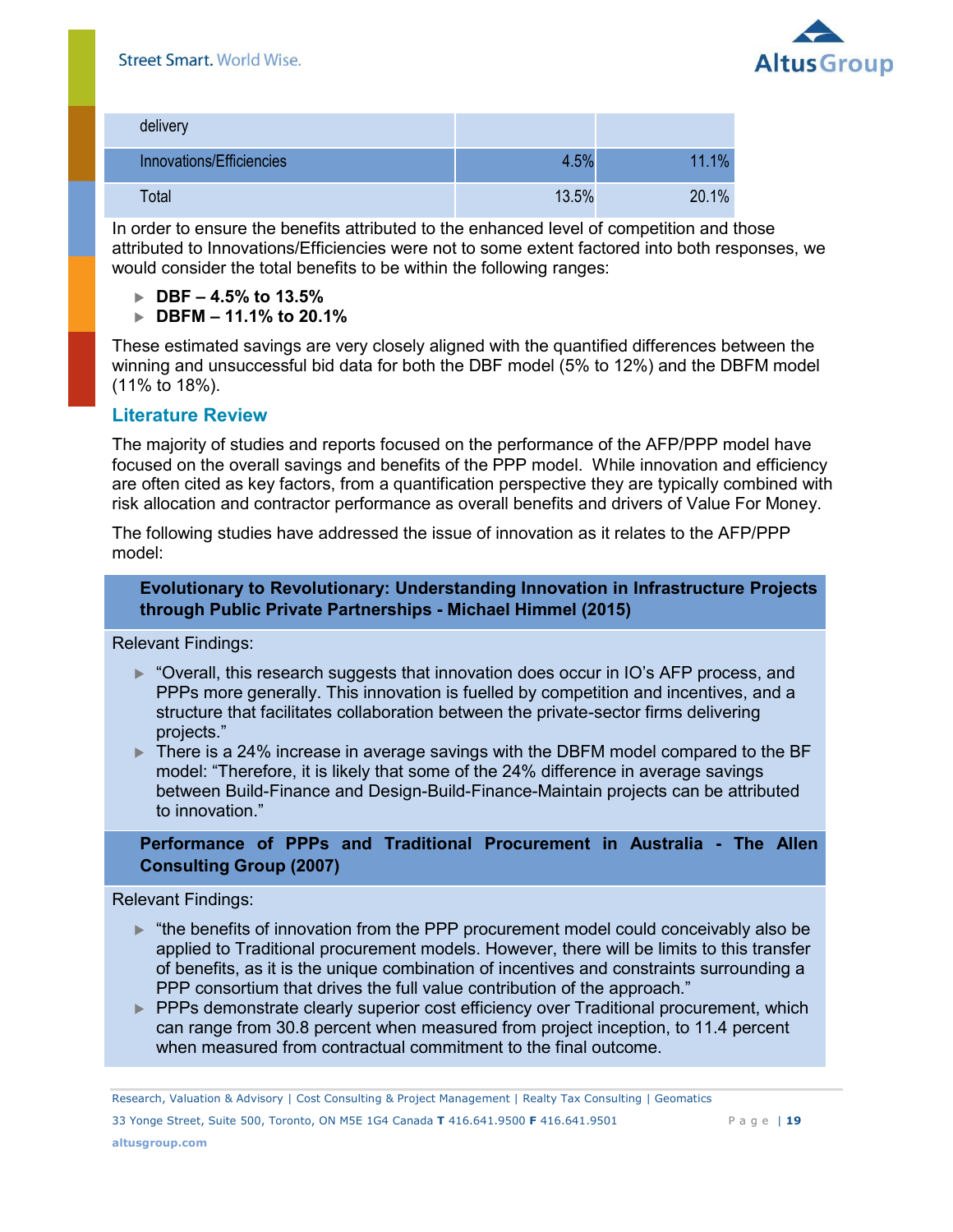

| delivery                 |       |       |
|--------------------------|-------|-------|
| Innovations/Efficiencies | 4.5%  | 11.1% |
| Total                    | 13.5% | 20.1% |

In order to ensure the benefits attributed to the enhanced level of competition and those attributed to Innovations/Efficiencies were not to some extent factored into both responses, we would consider the total benefits to be within the following ranges:

- **DBF 4.5% to 13.5%**
- **DBFM 11.1% to 20.1%**

These estimated savings are very closely aligned with the quantified differences between the winning and unsuccessful bid data for both the DBF model (5% to 12%) and the DBFM model (11% to 18%).

## <span id="page-18-0"></span>**Literature Review**

The majority of studies and reports focused on the performance of the AFP/PPP model have focused on the overall savings and benefits of the PPP model. While innovation and efficiency are often cited as key factors, from a quantification perspective they are typically combined with risk allocation and contractor performance as overall benefits and drivers of Value For Money.

The following studies have addressed the issue of innovation as it relates to the AFP/PPP model:

#### **Evolutionary to Revolutionary: Understanding Innovation in Infrastructure Projects through Public Private Partnerships - Michael Himmel (2015)**

Relevant Findings:

- ► "Overall, this research suggests that innovation does occur in IO's AFP process, and PPPs more generally. This innovation is fuelled by competition and incentives, and a structure that facilitates collaboration between the private-sector firms delivering projects."
- ▶ There is a 24% increase in average savings with the DBFM model compared to the BF model: "Therefore, it is likely that some of the 24% difference in average savings between Build-Finance and Design-Build-Finance-Maintain projects can be attributed to innovation."

**Performance of PPPs and Traditional Procurement in Australia - The Allen Consulting Group (2007)** 

Relevant Findings:

- $\blacktriangleright$  "the benefits of innovation from the PPP procurement model could conceivably also be applied to Traditional procurement models. However, there will be limits to this transfer of benefits, as it is the unique combination of incentives and constraints surrounding a PPP consortium that drives the full value contribution of the approach."
- PPPs demonstrate clearly superior cost efficiency over Traditional procurement, which can range from 30.8 percent when measured from project inception, to 11.4 percent when measured from contractual commitment to the final outcome.

Research, Valuation & Advisory | Cost Consulting & Project Management | Realty Tax Consulting | Geomatics **Page |** 19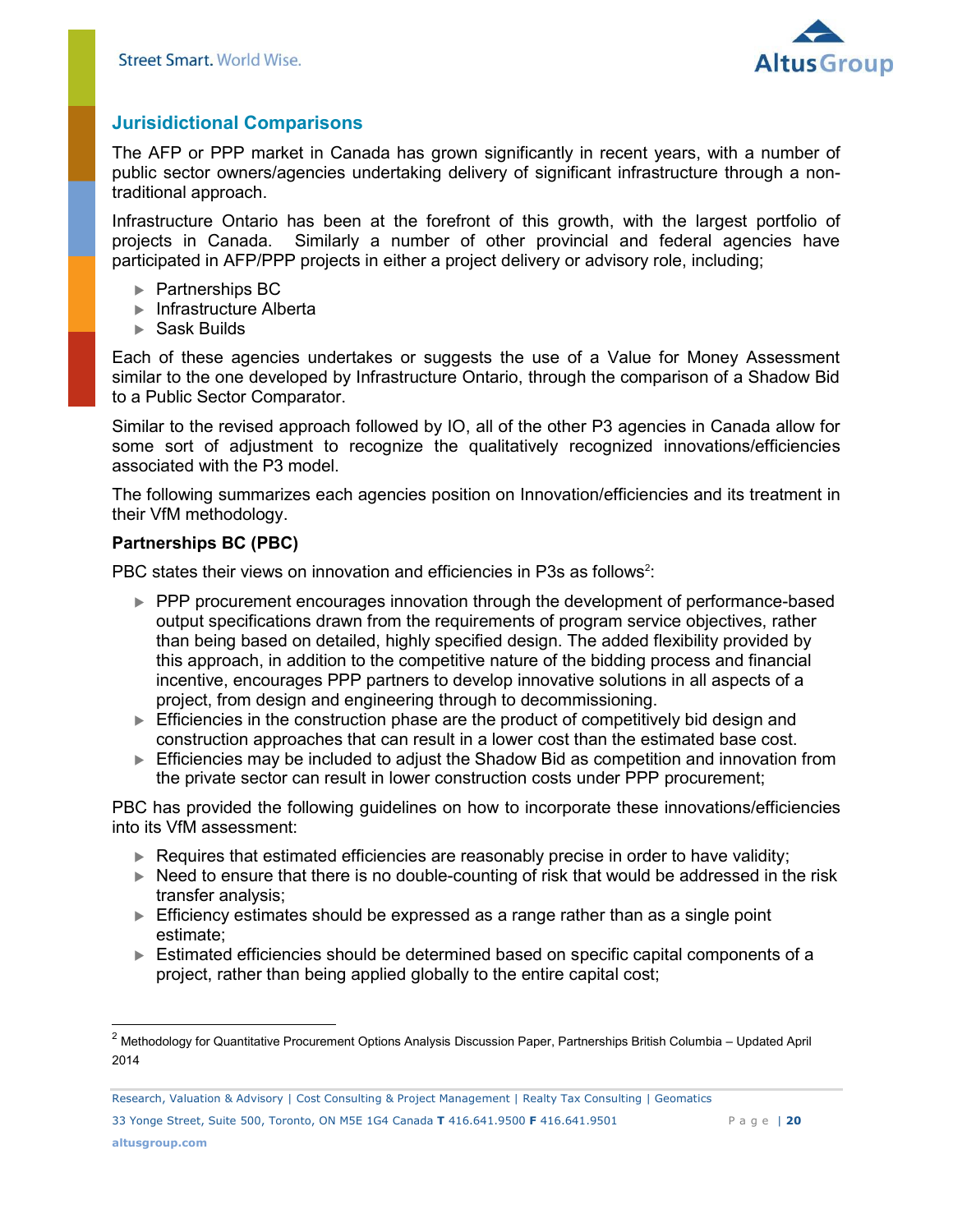

## <span id="page-19-0"></span>**Jurisidictional Comparisons**

The AFP or PPP market in Canada has grown significantly in recent years, with a number of public sector owners/agencies undertaking delivery of significant infrastructure through a nontraditional approach.

Infrastructure Ontario has been at the forefront of this growth, with the largest portfolio of projects in Canada. Similarly a number of other provincial and federal agencies have participated in AFP/PPP projects in either a project delivery or advisory role, including;

- ▶ Partnerships BC
- ▶ Infrastructure Alberta
- Sask Builds

Each of these agencies undertakes or suggests the use of a Value for Money Assessment similar to the one developed by Infrastructure Ontario, through the comparison of a Shadow Bid to a Public Sector Comparator.

Similar to the revised approach followed by IO, all of the other P3 agencies in Canada allow for some sort of adjustment to recognize the qualitatively recognized innovations/efficiencies associated with the P3 model.

The following summarizes each agencies position on Innovation/efficiencies and its treatment in their VfM methodology.

#### **Partnerships BC (PBC)**

PBC states their views on innovation and efficiencies in P3s as follows<sup>2</sup>:

- PPP procurement encourages innovation through the development of performance-based output specifications drawn from the requirements of program service objectives, rather than being based on detailed, highly specified design. The added flexibility provided by this approach, in addition to the competitive nature of the bidding process and financial incentive, encourages PPP partners to develop innovative solutions in all aspects of a project, from design and engineering through to decommissioning.
- Efficiencies in the construction phase are the product of competitively bid design and construction approaches that can result in a lower cost than the estimated base cost.
- Efficiencies may be included to adjust the Shadow Bid as competition and innovation from the private sector can result in lower construction costs under PPP procurement;

PBC has provided the following guidelines on how to incorporate these innovations/efficiencies into its VfM assessment:

- Requires that estimated efficiencies are reasonably precise in order to have validity;
- ► Need to ensure that there is no double-counting of risk that would be addressed in the risk transfer analysis;
- Efficiency estimates should be expressed as a range rather than as a single point estimate;
- ► Estimated efficiencies should be determined based on specific capital components of a project, rather than being applied globally to the entire capital cost;

Research, Valuation & Advisory | Cost Consulting & Project Management | Realty Tax Consulting | Geomatics **Page |** 20 33 Yonge Street, Suite 500, Toronto, ON M5E 1G4 Canada **T** 416.641.9500 **F** 416.641.9501 P a g e | **20**

<sup>&</sup>lt;sup>2</sup> Methodology for Quantitative Procurement Options Analysis Discussion Paper, Partnerships British Columbia – Updated April 2014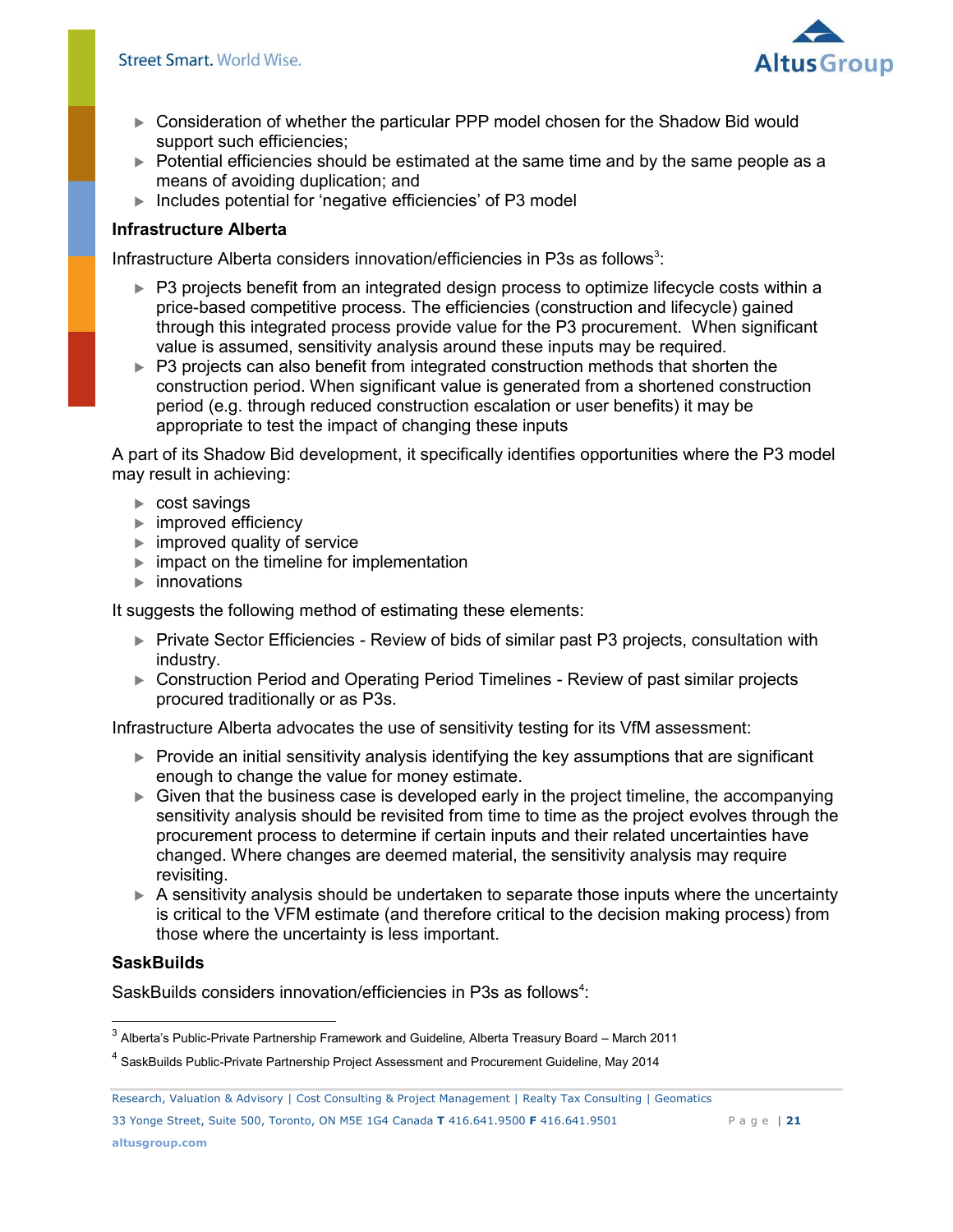

- Consideration of whether the particular PPP model chosen for the Shadow Bid would support such efficiencies;
- ▶ Potential efficiencies should be estimated at the same time and by the same people as a means of avoiding duplication; and
- ▶ Includes potential for 'negative efficiencies' of P3 model

## **Infrastructure Alberta**

Infrastructure Alberta considers innovation/efficiencies in P3s as follows<sup>3</sup>:

- ▶ P3 projects benefit from an integrated design process to optimize lifecycle costs within a price-based competitive process. The efficiencies (construction and lifecycle) gained through this integrated process provide value for the P3 procurement. When significant value is assumed, sensitivity analysis around these inputs may be required.
- ▶ P3 projects can also benefit from integrated construction methods that shorten the construction period. When significant value is generated from a shortened construction period (e.g. through reduced construction escalation or user benefits) it may be appropriate to test the impact of changing these inputs

A part of its Shadow Bid development, it specifically identifies opportunities where the P3 model may result in achieving:

- cost savings
- improved efficiency
- improved quality of service
- $\blacktriangleright$  impact on the timeline for implementation
- **▶** innovations

It suggests the following method of estimating these elements:

- ▶ Private Sector Efficiencies Review of bids of similar past P3 projects, consultation with industry.
- ► Construction Period and Operating Period Timelines Review of past similar projects procured traditionally or as P3s.

Infrastructure Alberta advocates the use of sensitivity testing for its VfM assessment:

- Provide an initial sensitivity analysis identifying the key assumptions that are significant enough to change the value for money estimate.
- Given that the business case is developed early in the project timeline, the accompanying sensitivity analysis should be revisited from time to time as the project evolves through the procurement process to determine if certain inputs and their related uncertainties have changed. Where changes are deemed material, the sensitivity analysis may require revisiting.
- A sensitivity analysis should be undertaken to separate those inputs where the uncertainty is critical to the VFM estimate (and therefore critical to the decision making process) from those where the uncertainty is less important.

## **SaskBuilds**

SaskBuilds considers innovation/efficiencies in P3s as follows<sup>4</sup>:

33 Yonge Street, Suite 500, Toronto, ON M5E 1G4 Canada **T** 416.641.9500 **F** 416.641.9501 P a g e | **21**

 $^3$  Alberta's Public-Private Partnership Framework and Guideline, Alberta Treasury Board – March 2011

<sup>&</sup>lt;sup>4</sup> SaskBuilds Public-Private Partnership Project Assessment and Procurement Guideline, May 2014

Research, Valuation & Advisory | Cost Consulting & Project Management | Realty Tax Consulting | Geomatics **Page |** 21